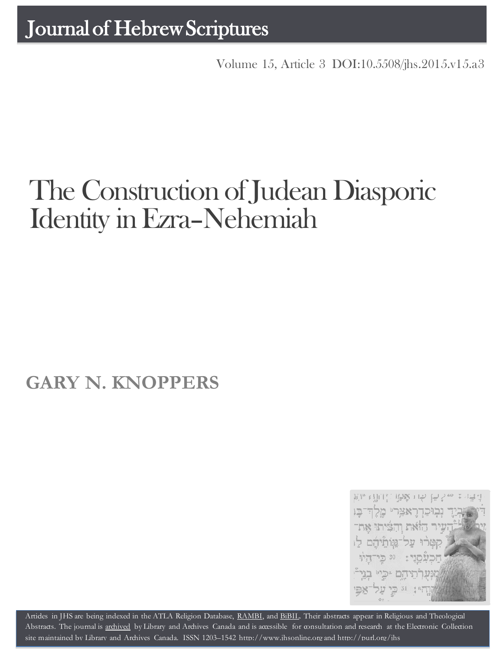Volume 15, Article 3 [DOI:10.5508/jhs.2015.v15.a3](http://dx.doi.org/10.5508/jhs.2015.v15.a3)

# The Construction of Judean Diasporic Identity in Ezra–Nehemiah

## **GARY N. KNOPPERS**



Artides in JHS are being indexed in the ATLA Religion Database, [RAMBI,](http://jnul.huji.ac.il/rambi/) and [BiBIL.](http://bibil.net/) Their abstracts appear in Religious and Theological Abstracts. The journal is [archived](http://epe.lac-bac.gc.ca/100/201/300/journal_hebrew/index.html) by Library and Archives Canada and is accessible for consultation and research at the Electronic Collection site maintained by [Library and Archives Canada.](http://collectionscanada.ca/electroniccollection/003008-200-e.html) ISSN 1203–1542 [http://www.jhsonline.org](http://www.jhsonline.org/) and<http://purl.org/jhs>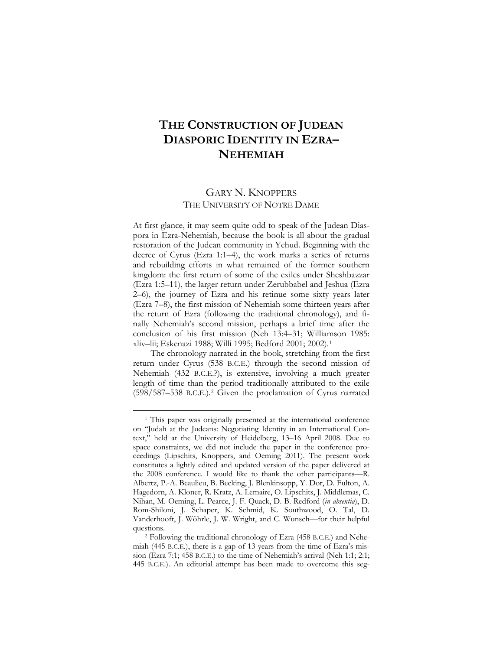### **THE CONSTRUCTION OF JUDEAN DIASPORIC IDENTITY IN EZRA– NEHEMIAH**

#### GARY N. KNOPPERS THE UNIVERSITY OF NOTRE DAME

At first glance, it may seem quite odd to speak of the Judean Diaspora in Ezra-Nehemiah, because the book is all about the gradual restoration of the Judean community in Yehud. Beginning with the decree of Cyrus (Ezra 1:1–4), the work marks a series of returns and rebuilding efforts in what remained of the former southern kingdom: the first return of some of the exiles under Sheshbazzar (Ezra 1:5–11), the larger return under Zerubbabel and Jeshua (Ezra 2–6), the journey of Ezra and his retinue some sixty years later (Ezra 7–8), the first mission of Nehemiah some thirteen years after the return of Ezra (following the traditional chronology), and finally Nehemiah's second mission, perhaps a brief time after the conclusion of his first mission (Neh 13:4–31; Williamson 1985: xliv–lii; Eskenazi 1988; Willi 1995; Bedford 2001; 2002).[1](#page-16-0)

The chronology narrated in the book, stretching from the first return under Cyrus (538 B.C.E.) through the second mission of Nehemiah (432 B.C.E.?), is extensive, involving a much greater length of time than the period traditionally attributed to the exile (598/587–538 B.C.E.).[2](#page-1-0) Given the proclamation of Cyrus narrated

<sup>&</sup>lt;sup>1</sup> This paper was originally presented at the international conference on "Judah at the Judeans: Negotiating Identity in an International Context," held at the University of Heidelberg, 13–16 April 2008. Due to space constraints, we did not include the paper in the conference proceedings (Lipschits, Knoppers, and Oeming 2011). The present work constitutes a lightly edited and updated version of the paper delivered at the 2008 conference. I would like to thank the other participants—R. Albertz, P.-A. Beaulieu, B. Becking, J. Blenkinsopp, Y. Dor, D. Fulton, A. Hagedorn, A. Kloner, R. Kratz, A. Lemaire, O. Lipschits, J. Middlemas, C. Nihan, M. Oeming, L. Pearce, J. F. Quack, D. B. Redford (*in absentia*), D. Rom-Shiloni, J. Schaper, K. Schmid, K. Southwood, O. Tal, D. Vanderhooft, J. Wöhrle, J. W. Wright, and C. Wunsch—for their helpful questions.

<span id="page-1-1"></span><span id="page-1-0"></span><sup>2</sup> Following the traditional chronology of Ezra (458 B.C.E.) and Nehemiah (445 B.C.E.), there is a gap of 13 years from the time of Ezra's mission (Ezra 7:1; 458 B.C.E.) to the time of Nehemiah's arrival (Neh 1:1; 2:1; 445 B.C.E.). An editorial attempt has been made to overcome this seg-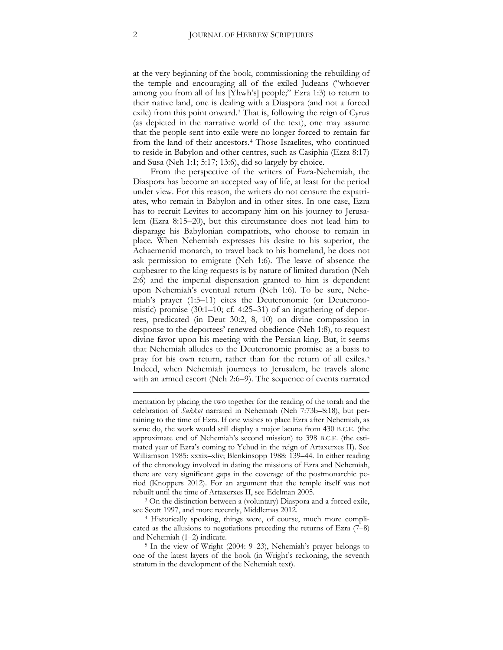at the very beginning of the book, commissioning the rebuilding of the temple and encouraging all of the exiled Judeans ("whoever among you from all of his [Yhwh's] people;" Ezra 1:3) to return to their native land, one is dealing with a Diaspora (and not a forced exile) from this point onward.[3](#page-1-1) That is, following the reign of Cyrus (as depicted in the narrative world of the text), one may assume that the people sent into exile were no longer forced to remain far from the land of their ancestors.[4](#page-2-0) Those Israelites, who continued to reside in Babylon and other centres, such as Casiphia (Ezra 8:17) and Susa (Neh 1:1; 5:17; 13:6), did so largely by choice.

From the perspective of the writers of Ezra-Nehemiah, the Diaspora has become an accepted way of life, at least for the period under view. For this reason, the writers do not censure the expatriates, who remain in Babylon and in other sites. In one case, Ezra has to recruit Levites to accompany him on his journey to Jerusalem (Ezra 8:15–20), but this circumstance does not lead him to disparage his Babylonian compatriots, who choose to remain in place. When Nehemiah expresses his desire to his superior, the Achaemenid monarch, to travel back to his homeland, he does not ask permission to emigrate (Neh 1:6). The leave of absence the cupbearer to the king requests is by nature of limited duration (Neh 2:6) and the imperial dispensation granted to him is dependent upon Nehemiah's eventual return (Neh 1:6). To be sure, Nehemiah's prayer (1:5–11) cites the Deuteronomic (or Deuteronomistic) promise (30:1–10; cf. 4:25–31) of an ingathering of deportees, predicated (in Deut 30:2, 8, 10) on divine compassion in response to the deportees' renewed obedience (Neh 1:8), to request divine favor upon his meeting with the Persian king. But, it seems that Nehemiah alludes to the Deuteronomic promise as a basis to pray for his own return, rather than for the return of all exiles.[5](#page-2-1) Indeed, when Nehemiah journeys to Jerusalem, he travels alone with an armed escort (Neh 2:6–9). The sequence of events narrated

<span id="page-2-2"></span>mentation by placing the two together for the reading of the torah and the celebration of *Sukkot* narrated in Nehemiah (Neh 7:73b–8:18), but pertaining to the time of Ezra. If one wishes to place Ezra after Nehemiah, as some do, the work would still display a major lacuna from 430 B.C.E. (the approximate end of Nehemiah's second mission) to 398 B.C.E. (the estimated year of Ezra's coming to Yehud in the reign of Artaxerxes II). See Williamson 1985: xxxix–xliv; Blenkinsopp 1988: 139–44. In either reading of the chronology involved in dating the missions of Ezra and Nehemiah, there are very significant gaps in the coverage of the postmonarchic period (Knoppers 2012). For an argument that the temple itself was not rebuilt until the time of Artaxerxes II, see Edelman 2005.

<sup>3</sup> On the distinction between a (voluntary) Diaspora and a forced exile,

<span id="page-2-0"></span>see Scott 1997, and more recently, Middlemas 2012.<br><sup>4</sup> Historically speaking, things were, of course, much more complicated as the allusions to negotiations preceding the returns of Ezra (7–8)

<span id="page-2-1"></span>and Nehemiah (1–2) indicate.  $\frac{5}{1}$  In the view of Wright (2004: 9–23), Nehemiah's prayer belongs to one of the latest layers of the book (in Wright's reckoning, the seventh stratum in the development of the Nehemiah text).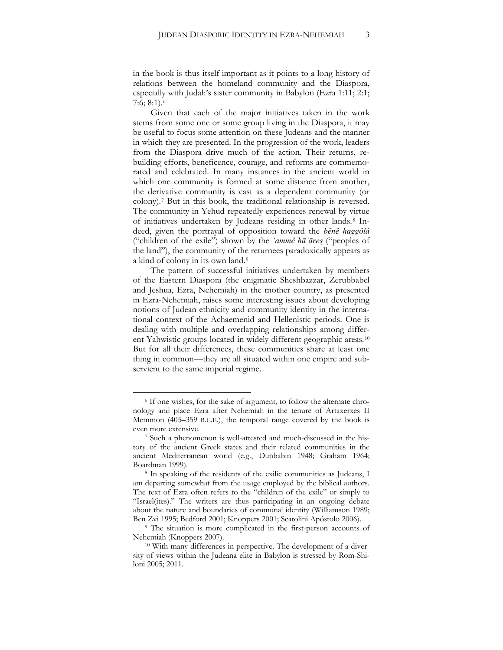in the book is thus itself important as it points to a long history of relations between the homeland community and the Diaspora, especially with Judah's sister community in Babylon (Ezra 1:11; 2:1; 7:6; 8:1).[6](#page-2-2)

Given that each of the major initiatives taken in the work stems from some one or some group living in the Diaspora, it may be useful to focus some attention on these Judeans and the manner in which they are presented. In the progression of the work, leaders from the Diaspora drive much of the action. Their returns, rebuilding efforts, beneficence, courage, and reforms are commemorated and celebrated. In many instances in the ancient world in which one community is formed at some distance from another, the derivative community is cast as a dependent community (or colony).[7](#page-3-0) But in this book, the traditional relationship is reversed. The community in Yehud repeatedly experiences renewal by virtue of initiatives undertaken by Judeans residing in other lands.<sup>[8](#page-3-1)</sup> Indeed, given the portrayal of opposition toward the *bĕnê haggôlâ* ("children of the exile") shown by the *'ammê hā'āreṣ* ("peoples of the land"), the community of the returnees paradoxically appears as a kind of colony in its own land.[9](#page-3-2)

The pattern of successful initiatives undertaken by members of the Eastern Diaspora (the enigmatic Sheshbazzar, Zerubbabel and Jeshua, Ezra, Nehemiah) in the mother country, as presented in Ezra-Nehemiah, raises some interesting issues about developing notions of Judean ethnicity and community identity in the international context of the Achaemenid and Hellenistic periods. One is dealing with multiple and overlapping relationships among different Yahwistic groups located in widely different geographic areas.[10](#page-3-3) But for all their differences, these communities share at least one thing in common—they are all situated within one empire and subservient to the same imperial regime.

<sup>6</sup> If one wishes, for the sake of argument, to follow the alternate chronology and place Ezra after Nehemiah in the tenure of Artaxerxes II Memmon (405–359 B.C.E.), the temporal range covered by the book is even more extensive.

<span id="page-3-0"></span><sup>7</sup> Such a phenomenon is well-attested and much-discussed in the history of the ancient Greek states and their related communities in the ancient Mediterranean world (e.g., Dunbabin 1948; Graham 1964; Boardman 1999).

<span id="page-3-1"></span><sup>8</sup> In speaking of the residents of the exilic communities as Judeans, I am departing somewhat from the usage employed by the biblical authors. The text of Ezra often refers to the "children of the exile" or simply to "Israel(ites)." The writers are thus participating in an ongoing debate about the nature and boundaries of communal identity (Williamson 1989; Ben Zvi 1995; Bedford 2001; Knoppers 2001; Scatolini Apóstolo 2006).

<span id="page-3-2"></span><sup>9</sup> The situation is more complicated in the first-person accounts of Nehemiah (Knoppers 2007).

<span id="page-3-3"></span><sup>&</sup>lt;sup>10</sup> With many differences in perspective. The development of a diversity of views within the Judeana elite in Babylon is stressed by Rom-Shiloni 2005; 2011.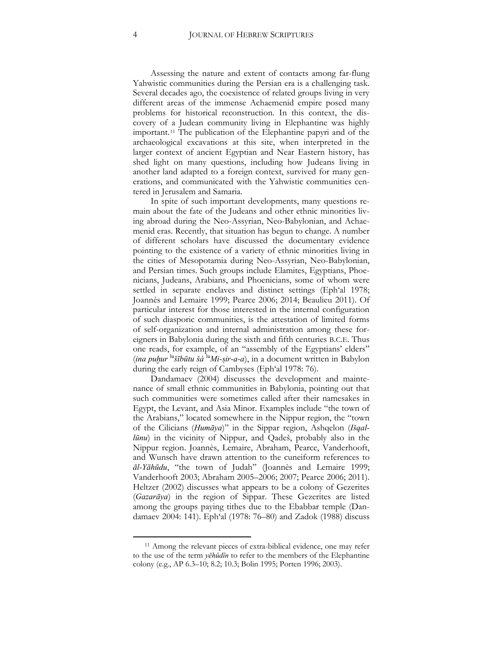Assessing the nature and extent of contacts among far-flung Yahwistic communities during the Persian era is a challenging task. Several decades ago, the coexistence of related groups living in very different areas of the immense Achaemenid empire posed many problems for historical reconstruction. In this context, the discovery of a Judean community living in Elephantine was highly important.[11](#page-3-3) The publication of the Elephantine papyri and of the archaeological excavations at this site, when interpreted in the larger context of ancient Egyptian and Near Eastern history, has shed light on many questions, including how Judeans living in another land adapted to a foreign context, survived for many generations, and communicated with the Yahwistic communities centered in Jerusalem and Samaria.

In spite of such important developments, many questions remain about the fate of the Judeans and other ethnic minorities living abroad during the Neo-Assyrian, Neo-Babylonian, and Achaemenid eras. Recently, that situation has begun to change. A number of different scholars have discussed the documentary evidence pointing to the existence of a variety of ethnic minorities living in the cities of Mesopotamia during Neo-Assyrian, Neo-Babylonian, and Persian times. Such groups include Elamites, Egyptians, Phoenicians, Judeans, Arabians, and Phoenicians, some of whom were settled in separate enclaves and distinct settings (Eph'al 1978; Joannès and Lemaire 1999; Pearce 2006; 2014; Beaulieu 2011). Of particular interest for those interested in the internal configuration of such diasporic communities, is the attestation of limited forms of self-organization and internal administration among these foreigners in Babylonia during the sixth and fifth centuries B.C.E. Thus one reads, for example, of an "assembly of the Egyptians' elders" (*ina puḫur* lu*šībūtu šá* lu*Mi-ṣir-a-a*), in a document written in Babylon during the early reign of Cambyses (Eph'al 1978: 76).

<span id="page-4-0"></span>Dandamaev (2004) discusses the development and maintenance of small ethnic communities in Babylonia, pointing out that such communities were sometimes called after their namesakes in Egypt, the Levant, and Asia Minor. Examples include "the town of the Arabians," located somewhere in the Nippur region, the "town of the Cilicians (*Humāya*)" in the Sippar region, Ashqelon (*Išqallūnu*) in the vicinity of Nippur, and Qadeš, probably also in the Nippur region. Joannès, Lemaire, Abraham, Pearce, Vanderhooft, and Wunsch have drawn attention to the cuneiform references to *āl-Yāhūdu*, "the town of Judah" (Joannès and Lemaire 1999; Vanderhooft 2003; Abraham 2005–2006; 2007; Pearce 2006; 2011). Heltzer (2002) discusses what appears to be a colony of Gezerites (*Gazarāya*) in the region of Sippar. These Gezerites are listed among the groups paying tithes due to the Ebabbar temple (Dandamaev 2004: 141). Eph'al (1978: 76–80) and Zadok (1988) discuss

<sup>11</sup> Among the relevant pieces of extra-biblical evidence, one may refer to the use of the term *yĕhûdîn* to refer to the members of the Elephantine colony (e.g., AP 6.3–10; 8.2; 10.3; Bolin 1995; Porten 1996; 2003).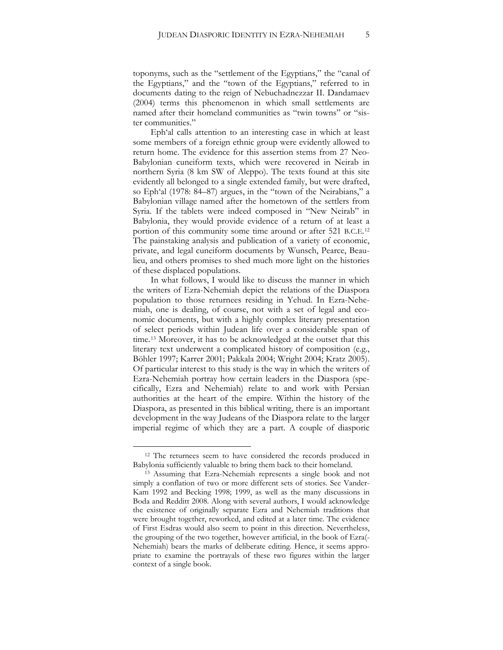toponyms, such as the "settlement of the Egyptians," the "canal of the Egyptians," and the "town of the Egyptians," referred to in documents dating to the reign of Nebuchadnezzar II. Dandamaev (2004) terms this phenomenon in which small settlements are named after their homeland communities as "twin towns" or "sister communities."

Eph'al calls attention to an interesting case in which at least some members of a foreign ethnic group were evidently allowed to return home. The evidence for this assertion stems from 27 Neo-Babylonian cuneiform texts, which were recovered in Neirab in northern Syria (8 km SW of Aleppo). The texts found at this site evidently all belonged to a single extended family, but were drafted, so Eph'al (1978: 84–87) argues, in the "town of the Neirabians," a Babylonian village named after the hometown of the settlers from Syria. If the tablets were indeed composed in "New Neirab" in Babylonia, they would provide evidence of a return of at least a portion of this community some time around or after 521 B.C.E.[12](#page-4-0) The painstaking analysis and publication of a variety of economic, private, and legal cuneiform documents by Wunsch, Pearce, Beaulieu, and others promises to shed much more light on the histories of these displaced populations.

<span id="page-5-1"></span>In what follows, I would like to discuss the manner in which the writers of Ezra-Nehemiah depict the relations of the Diaspora population to those returnees residing in Yehud. In Ezra-Nehemiah, one is dealing, of course, not with a set of legal and economic documents, but with a highly complex literary presentation of select periods within Judean life over a considerable span of time.[13](#page-5-0) Moreover, it has to be acknowledged at the outset that this literary text underwent a complicated history of composition (e.g., Böhler 1997; Karrer 2001; Pakkala 2004; Wright 2004; Kratz 2005). Of particular interest to this study is the way in which the writers of Ezra-Nehemiah portray how certain leaders in the Diaspora (specifically, Ezra and Nehemiah) relate to and work with Persian authorities at the heart of the empire. Within the history of the Diaspora, as presented in this biblical writing, there is an important development in the way Judeans of the Diaspora relate to the larger imperial regime of which they are a part. A couple of diasporic

<sup>&</sup>lt;sup>12</sup> The returnees seem to have considered the records produced in Babylonia sufficiently valuable to bring them back to their homeland.

<span id="page-5-0"></span><sup>13</sup> Assuming that Ezra-Nehemiah represents a single book and not simply a conflation of two or more different sets of stories. See Vander-Kam 1992 and Becking 1998; 1999, as well as the many discussions in Boda and Redditt 2008. Along with several authors, I would acknowledge the existence of originally separate Ezra and Nehemiah traditions that were brought together, reworked, and edited at a later time. The evidence of First Esdras would also seem to point in this direction. Nevertheless, the grouping of the two together, however artificial, in the book of Ezra(- Nehemiah) bears the marks of deliberate editing. Hence, it seems appropriate to examine the portrayals of these two figures within the larger context of a single book.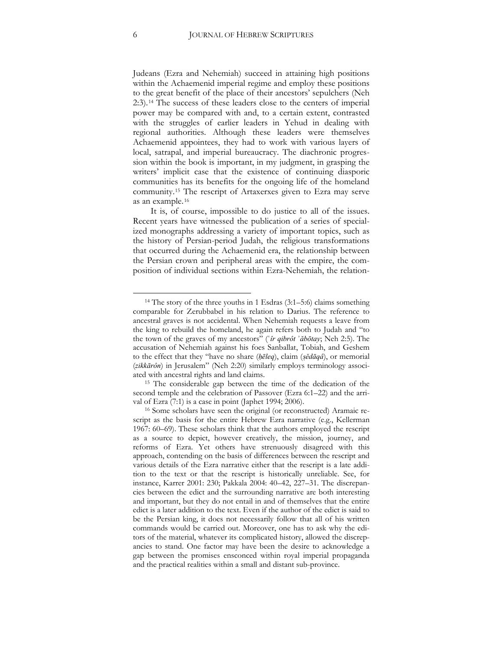Judeans (Ezra and Nehemiah) succeed in attaining high positions within the Achaemenid imperial regime and employ these positions to the great benefit of the place of their ancestors' sepulchers (Neh 2:3).[14](#page-5-1) The success of these leaders close to the centers of imperial power may be compared with and, to a certain extent, contrasted with the struggles of earlier leaders in Yehud in dealing with regional authorities. Although these leaders were themselves Achaemenid appointees, they had to work with various layers of local, satrapal, and imperial bureaucracy. The diachronic progression within the book is important, in my judgment, in grasping the writers' implicit case that the existence of continuing diasporic communities has its benefits for the ongoing life of the homeland community.[15](#page-6-0) The rescript of Artaxerxes given to Ezra may serve as an example.[16](#page-6-1)

It is, of course, impossible to do justice to all of the issues. Recent years have witnessed the publication of a series of specialized monographs addressing a variety of important topics, such as the history of Persian-period Judah, the religious transformations that occurred during the Achaemenid era, the relationship between the Persian crown and peripheral areas with the empire, the composition of individual sections within Ezra-Nehemiah, the relation-

<sup>&</sup>lt;sup>14</sup> The story of the three youths in 1 Esdras (3:1-5:6) claims something comparable for Zerubbabel in his relation to Darius. The reference to ancestral graves is not accidental. When Nehemiah requests a leave from the king to rebuild the homeland, he again refers both to Judah and "to the town of the graves of my ancestors" (*ʿîr qibrôt ʾăbōtay*; Neh 2:5). The accusation of Nehemiah against his foes Sanballat, Tobiah, and Geshem to the effect that they "have no share (*ḥēleq*), claim (*ṣĕdāqâ*), or memorial (*zikkārôn*) in Jerusalem" (Neh 2:20) similarly employs terminology associated with ancestral rights and land claims.

<span id="page-6-0"></span><sup>15</sup> The considerable gap between the time of the dedication of the second temple and the celebration of Passover (Ezra 6:1–22) and the arrival of Ezra (7:1) is a case in point (Japhet 1994; 2006).

<span id="page-6-2"></span><span id="page-6-1"></span><sup>16</sup> Some scholars have seen the original (or reconstructed) Aramaic rescript as the basis for the entire Hebrew Ezra narrative (e.g., Kellerman 1967: 60–69). These scholars think that the authors employed the rescript as a source to depict, however creatively, the mission, journey, and reforms of Ezra. Yet others have strenuously disagreed with this approach, contending on the basis of differences between the rescript and various details of the Ezra narrative either that the rescript is a late addition to the text or that the rescript is historically unreliable. See, for instance, Karrer 2001: 230; Pakkala 2004: 40–42, 227–31. The discrepancies between the edict and the surrounding narrative are both interesting and important, but they do not entail in and of themselves that the entire edict is a later addition to the text. Even if the author of the edict is said to be the Persian king, it does not necessarily follow that all of his written commands would be carried out. Moreover, one has to ask why the editors of the material, whatever its complicated history, allowed the discrepancies to stand. One factor may have been the desire to acknowledge a gap between the promises ensconced within royal imperial propaganda and the practical realities within a small and distant sub-province.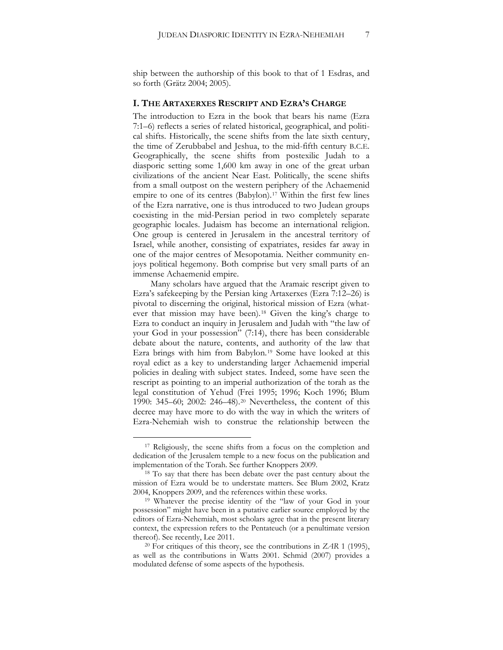ship between the authorship of this book to that of 1 Esdras, and so forth (Grätz 2004; 2005).

#### **I. THE ARTAXERXES RESCRIPT AND EZRA'S CHARGE**

The introduction to Ezra in the book that bears his name (Ezra 7:1–6) reflects a series of related historical, geographical, and political shifts. Historically, the scene shifts from the late sixth century, the time of Zerubbabel and Jeshua, to the mid-fifth century B.C.E. Geographically, the scene shifts from postexilic Judah to a diasporic setting some 1,600 km away in one of the great urban civilizations of the ancient Near East. Politically, the scene shifts from a small outpost on the western periphery of the Achaemenid empire to one of its centres (Babylon).<sup>[17](#page-6-2)</sup> Within the first few lines of the Ezra narrative, one is thus introduced to two Judean groups coexisting in the mid-Persian period in two completely separate geographic locales. Judaism has become an international religion. One group is centered in Jerusalem in the ancestral territory of Israel, while another, consisting of expatriates, resides far away in one of the major centres of Mesopotamia. Neither community enjoys political hegemony. Both comprise but very small parts of an immense Achaemenid empire.

Many scholars have argued that the Aramaic rescript given to Ezra's safekeeping by the Persian king Artaxerxes (Ezra 7:12–26) is pivotal to discerning the original, historical mission of Ezra (what-ever that mission may have been).<sup>[18](#page-7-0)</sup> Given the king's charge to Ezra to conduct an inquiry in Jerusalem and Judah with "the law of your God in your possession" (7:14), there has been considerable debate about the nature, contents, and authority of the law that Ezra brings with him from Babylon.<sup>[19](#page-7-1)</sup> Some have looked at this royal edict as a key to understanding larger Achaemenid imperial policies in dealing with subject states. Indeed, some have seen the rescript as pointing to an imperial authorization of the torah as the legal constitution of Yehud (Frei 1995; 1996; Koch 1996; Blum 1990: 345–60; 2002: 246–48).[20](#page-7-2) Nevertheless, the content of this decree may have more to do with the way in which the writers of Ezra-Nehemiah wish to construe the relationship between the

<span id="page-7-3"></span><sup>&</sup>lt;sup>17</sup> Religiously, the scene shifts from a focus on the completion and dedication of the Jerusalem temple to a new focus on the publication and implementation of the Torah. See further Knoppers 2009.

<span id="page-7-0"></span><sup>&</sup>lt;sup>18</sup> To say that there has been debate over the past century about the mission of Ezra would be to understate matters. See Blum 2002, Kratz 2004, Knoppers 2009, and the references within these works.

<span id="page-7-1"></span><sup>19</sup> Whatever the precise identity of the "law of your God in your possession" might have been in a putative earlier source employed by the editors of Ezra-Nehemiah, most scholars agree that in the present literary context, the expression refers to the Pentateuch (or a penultimate version

<span id="page-7-2"></span>thereof). See recently, Lee 2011. 20 For critiques of this theory, see the contributions in *ZAR* 1 (1995), as well as the contributions in Watts 2001. Schmid (2007) provides a modulated defense of some aspects of the hypothesis.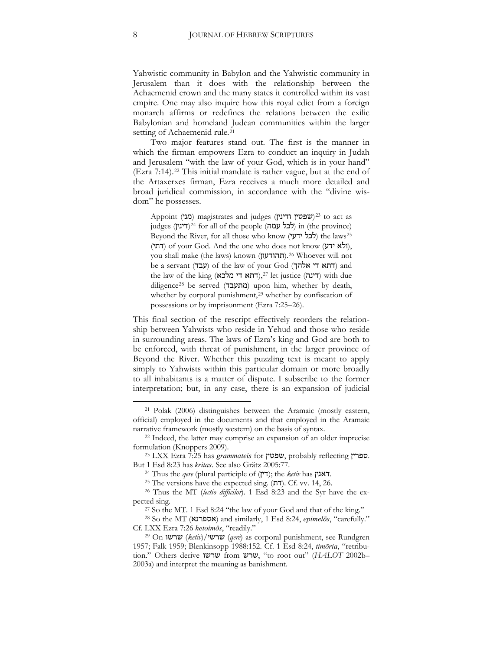Yahwistic community in Babylon and the Yahwistic community in Jerusalem than it does with the relationship between the Achaemenid crown and the many states it controlled within its vast empire. One may also inquire how this royal edict from a foreign monarch affirms or redefines the relations between the exilic Babylonian and homeland Judean communities within the larger setting of Achaemenid rule.<sup>[21](#page-7-3)</sup>

Two major features stand out. The first is the manner in which the firman empowers Ezra to conduct an inquiry in Judah and Jerusalem "with the law of your God, which is in your hand" (Ezra 7:14).[22](#page-8-0) This initial mandate is rather vague, but at the end of the Artaxerxes firman, Ezra receives a much more detailed and broad juridical commission, in accordance with the "divine wisdom" he possesses.

Appoint (מני) magistrates and judges (שפטין ודינין)<sup>23</sup> to act as judges (דינין)<sup>24</sup> for all of the people (לכל עמה) in (the province) Beyond the River, for all those who know (**לכל ידעי)** the laws<sup>25</sup> (דתי) of your God. And the one who does not know (דתי), you shall make (the laws) known (תהודעון).<sup>26</sup> Whoever will not be a servant (דתא די אלהך) of the law of your God (דתא די אלה the law of the king (דינה),<sup>27</sup> let justice (דינה) with due diligence<sup>28</sup> be served (מתעבד) upon him, whether by death, whether by corporal punishment,<sup>29</sup> whether by confiscation of possessions or by imprisonment (Ezra 7:25–26).

This final section of the rescript effectively reorders the relationship between Yahwists who reside in Yehud and those who reside in surrounding areas. The laws of Ezra's king and God are both to be enforced, with threat of punishment, in the larger province of Beyond the River. Whether this puzzling text is meant to apply simply to Yahwists within this particular domain or more broadly to all inhabitants is a matter of dispute. I subscribe to the former interpretation; but, in any case, there is an expansion of judicial

<sup>21</sup> Polak (2006) distinguishes between the Aramaic (mostly eastern, official) employed in the documents and that employed in the Aramaic narrative framework (mostly western) on the basis of syntax.

<span id="page-8-0"></span><sup>22</sup> Indeed, the latter may comprise an expansion of an older imprecise formulation (Knoppers 2009).

<sup>23</sup> LXX Ezra 7:25 has *grammateis* for שפטין, probably reflecting ספרין. But 1 Esd 8:23 has *kritas*. See also Grätz 2005:77.

<sup>&</sup>lt;sup>24</sup> Thus the *qere* (plural participle of (דין); the *ketiv* has **דאנין.** 

<sup>&</sup>lt;sup>25</sup> The versions have the expected sing. (דת). Cf. vv. 14, 26.

<sup>26</sup> Thus the MT (*lectio difficilor*). 1 Esd 8:23 and the Syr have the ex-

<span id="page-8-1"></span>pected sing. 27 So the MT. 1 Esd 8:24 "the law of your God and that of the king." 28 So the MT (אספרנא (and similarly, 1 Esd 8:24, *epimelōs*, "carefully."

Cf. LXX Ezra 7:26 *hetoimōs*, "readily." 29 On שרשו) *ketiv*)/שרשי) *qere*) as corporal punishment, see Rundgren 1957; Falk 1959; Blenkinsopp 1988:152. Cf. 1 Esd 8:24, *timōria*, "retribution." Others derive שרשו from שרש," to root out" (*HALOT* 2002b– 2003a) and interpret the meaning as banishment.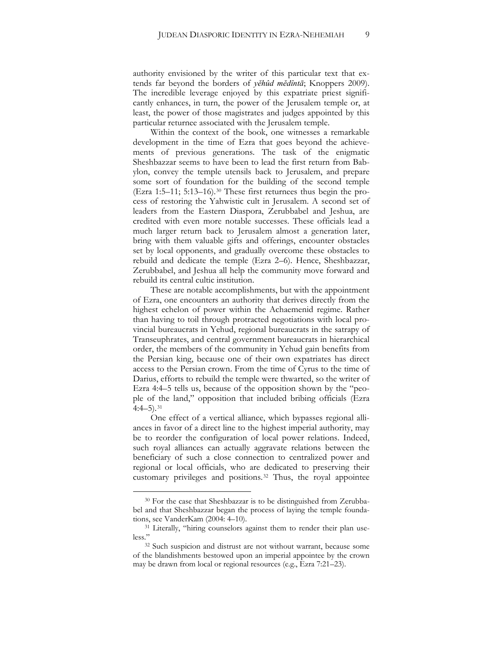authority envisioned by the writer of this particular text that extends far beyond the borders of *yĕhûd mĕdîntā*; Knoppers 2009). The incredible leverage enjoyed by this expatriate priest significantly enhances, in turn, the power of the Jerusalem temple or, at least, the power of those magistrates and judges appointed by this particular returnee associated with the Jerusalem temple.

Within the context of the book, one witnesses a remarkable development in the time of Ezra that goes beyond the achievements of previous generations. The task of the enigmatic Sheshbazzar seems to have been to lead the first return from Babylon, convey the temple utensils back to Jerusalem, and prepare some sort of foundation for the building of the second temple (Ezra 1:5–11; 5:13–16).[30](#page-8-1) These first returnees thus begin the process of restoring the Yahwistic cult in Jerusalem. A second set of leaders from the Eastern Diaspora, Zerubbabel and Jeshua, are credited with even more notable successes. These officials lead a much larger return back to Jerusalem almost a generation later, bring with them valuable gifts and offerings, encounter obstacles set by local opponents, and gradually overcome these obstacles to rebuild and dedicate the temple (Ezra 2–6). Hence, Sheshbazzar, Zerubbabel, and Jeshua all help the community move forward and rebuild its central cultic institution.

These are notable accomplishments, but with the appointment of Ezra, one encounters an authority that derives directly from the highest echelon of power within the Achaemenid regime. Rather than having to toil through protracted negotiations with local provincial bureaucrats in Yehud, regional bureaucrats in the satrapy of Transeuphrates, and central government bureaucrats in hierarchical order, the members of the community in Yehud gain benefits from the Persian king, because one of their own expatriates has direct access to the Persian crown. From the time of Cyrus to the time of Darius, efforts to rebuild the temple were thwarted, so the writer of Ezra 4:4–5 tells us, because of the opposition shown by the "people of the land," opposition that included bribing officials (Ezra  $4:4-5$ ).  $31$ 

<span id="page-9-2"></span>One effect of a vertical alliance, which bypasses regional alliances in favor of a direct line to the highest imperial authority, may be to reorder the configuration of local power relations. Indeed, such royal alliances can actually aggravate relations between the beneficiary of such a close connection to centralized power and regional or local officials, who are dedicated to preserving their customary privileges and positions.[32](#page-9-1) Thus, the royal appointee

<sup>&</sup>lt;sup>30</sup> For the case that Sheshbazzar is to be distinguished from Zerubbabel and that Sheshbazzar began the process of laying the temple foundations, see VanderKam (2004: 4–10).<br><sup>31</sup> Literally, "hiring counselors against them to render their plan use-

<span id="page-9-0"></span>less."32 Such suspicion and distrust are not without warrant, because some

<span id="page-9-1"></span>of the blandishments bestowed upon an imperial appointee by the crown may be drawn from local or regional resources (e.g., Ezra 7:21–23).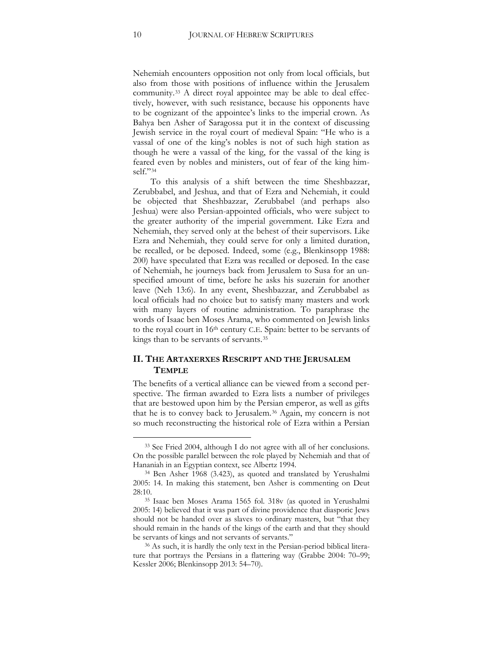Nehemiah encounters opposition not only from local officials, but also from those with positions of influence within the Jerusalem community.[33](#page-9-2) A direct royal appointee may be able to deal effectively, however, with such resistance, because his opponents have to be cognizant of the appointee's links to the imperial crown. As Bahya ben Asher of Saragossa put it in the context of discussing Jewish service in the royal court of medieval Spain: "He who is a vassal of one of the king's nobles is not of such high station as though he were a vassal of the king, for the vassal of the king is feared even by nobles and ministers, out of fear of the king him-self."[34](#page-10-0)

To this analysis of a shift between the time Sheshbazzar, Zerubbabel, and Jeshua, and that of Ezra and Nehemiah, it could be objected that Sheshbazzar, Zerubbabel (and perhaps also Jeshua) were also Persian-appointed officials, who were subject to the greater authority of the imperial government. Like Ezra and Nehemiah, they served only at the behest of their supervisors. Like Ezra and Nehemiah, they could serve for only a limited duration, be recalled, or be deposed. Indeed, some (e.g., Blenkinsopp 1988: 200) have speculated that Ezra was recalled or deposed. In the case of Nehemiah, he journeys back from Jerusalem to Susa for an unspecified amount of time, before he asks his suzerain for another leave (Neh 13:6). In any event, Sheshbazzar, and Zerubbabel as local officials had no choice but to satisfy many masters and work with many layers of routine administration. To paraphrase the words of Isaac ben Moses Arama, who commented on Jewish links to the royal court in 16th century C.E. Spain: better to be servants of kings than to be servants of servants.[35](#page-10-1)

#### **II. THE ARTAXERXES RESCRIPT AND THE JERUSALEM TEMPLE**

The benefits of a vertical alliance can be viewed from a second perspective. The firman awarded to Ezra lists a number of privileges that are bestowed upon him by the Persian emperor, as well as gifts that he is to convey back to Jerusalem.[36](#page-10-2) Again, my concern is not so much reconstructing the historical role of Ezra within a Persian

<span id="page-10-3"></span><sup>33</sup> See Fried 2004, although I do not agree with all of her conclusions. On the possible parallel between the role played by Nehemiah and that of Hananiah in an Egyptian context, see Albertz 1994. 34 Ben Asher 1968 (3.423), as quoted and translated by Yerushalmi

<span id="page-10-0"></span><sup>2005:</sup> 14. In making this statement, ben Asher is commenting on Deut 28:10.

<span id="page-10-1"></span><sup>35</sup> Isaac ben Moses Arama 1565 fol. 318v (as quoted in Yerushalmi 2005: 14) believed that it was part of divine providence that diasporic Jews should not be handed over as slaves to ordinary masters, but "that they should remain in the hands of the kings of the earth and that they should be servants of kings and not servants of servants."<br><sup>36</sup> As such, it is hardly the only text in the Persian-period biblical litera-

<span id="page-10-2"></span>ture that portrays the Persians in a flattering way (Grabbe 2004: 70–99; Kessler 2006; Blenkinsopp 2013: 54–70).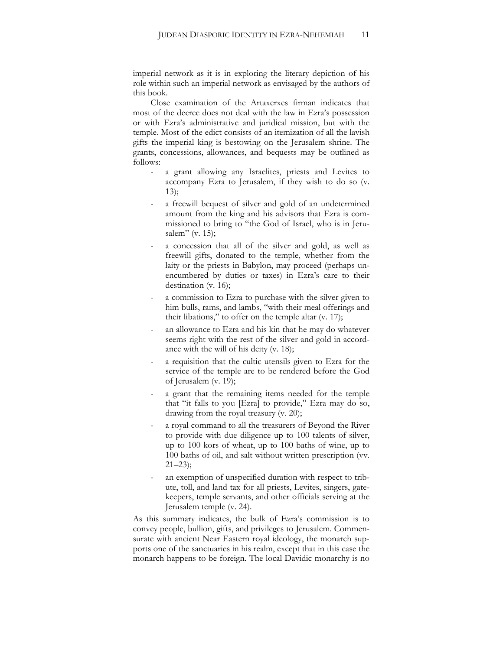imperial network as it is in exploring the literary depiction of his role within such an imperial network as envisaged by the authors of this book.

Close examination of the Artaxerxes firman indicates that most of the decree does not deal with the law in Ezra's possession or with Ezra's administrative and juridical mission, but with the temple. Most of the edict consists of an itemization of all the lavish gifts the imperial king is bestowing on the Jerusalem shrine. The grants, concessions, allowances, and bequests may be outlined as follows:

- a grant allowing any Israelites, priests and Levites to accompany Ezra to Jerusalem, if they wish to do so (v. 13);
- a freewill bequest of silver and gold of an undetermined amount from the king and his advisors that Ezra is commissioned to bring to "the God of Israel, who is in Jerusalem" (v. 15);
- a concession that all of the silver and gold, as well as freewill gifts, donated to the temple, whether from the laity or the priests in Babylon, may proceed (perhaps unencumbered by duties or taxes) in Ezra's care to their destination (v. 16);
- a commission to Ezra to purchase with the silver given to him bulls, rams, and lambs, "with their meal offerings and their libations," to offer on the temple altar (v. 17);
- an allowance to Ezra and his kin that he may do whatever seems right with the rest of the silver and gold in accordance with the will of his deity (v. 18);
- a requisition that the cultic utensils given to Ezra for the service of the temple are to be rendered before the God of Jerusalem (v. 19);
- a grant that the remaining items needed for the temple that "it falls to you [Ezra] to provide," Ezra may do so, drawing from the royal treasury (v. 20);
- a royal command to all the treasurers of Beyond the River to provide with due diligence up to 100 talents of silver, up to 100 kors of wheat, up to 100 baths of wine, up to 100 baths of oil, and salt without written prescription (vv.  $21-23$ ;
- an exemption of unspecified duration with respect to tribute, toll, and land tax for all priests, Levites, singers, gatekeepers, temple servants, and other officials serving at the Jerusalem temple (v. 24).

As this summary indicates, the bulk of Ezra's commission is to convey people, bullion, gifts, and privileges to Jerusalem. Commensurate with ancient Near Eastern royal ideology, the monarch supports one of the sanctuaries in his realm, except that in this case the monarch happens to be foreign. The local Davidic monarchy is no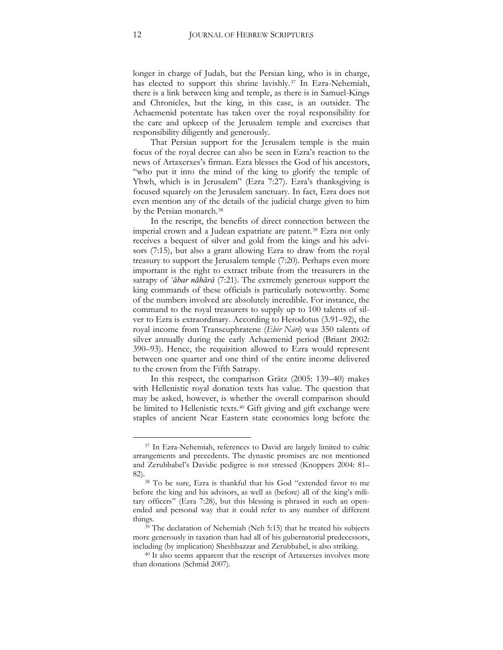longer in charge of Judah, but the Persian king, who is in charge, has elected to support this shrine lavishly.<sup>[37](#page-10-3)</sup> In Ezra-Nehemiah, there is a link between king and temple, as there is in Samuel-Kings and Chronicles, but the king, in this case, is an outsider. The Achaemenid potentate has taken over the royal responsibility for the care and upkeep of the Jerusalem temple and exercises that responsibility diligently and generously.

That Persian support for the Jerusalem temple is the main focus of the royal decree can also be seen in Ezra's reaction to the news of Artaxerxes's firman. Ezra blesses the God of his ancestors, "who put it into the mind of the king to glorify the temple of Yhwh, which is in Jerusalem" (Ezra 7:27). Ezra's thanksgiving is focused squarely on the Jerusalem sanctuary. In fact, Ezra does not even mention any of the details of the judicial charge given to him by the Persian monarch.<sup>[38](#page-12-0)</sup>

In the rescript, the benefits of direct connection between the imperial crown and a Judean expatriate are patent.<sup>[39](#page-12-1)</sup> Ezra not only receives a bequest of silver and gold from the kings and his advisors (7:15), but also a grant allowing Ezra to draw from the royal treasury to support the Jerusalem temple (7:20). Perhaps even more important is the right to extract tribute from the treasurers in the satrapy of *'ăbar nāhărâ* (7:21). The extremely generous support the king commands of these officials is particularly noteworthy. Some of the numbers involved are absolutely incredible. For instance, the command to the royal treasurers to supply up to 100 talents of silver to Ezra is extraordinary. According to Herodotus (3.91–92), the royal income from Transeuphratene (*Ebir Nāri*) was 350 talents of silver annually during the early Achaemenid period (Briant 2002: 390–93). Hence, the requisition allowed to Ezra would represent between one quarter and one third of the entire income delivered to the crown from the Fifth Satrapy.

In this respect, the comparison Grätz (2005: 139–40) makes with Hellenistic royal donation texts has value. The question that may be asked, however, is whether the overall comparison should be limited to Hellenistic texts.<sup>[40](#page-12-2)</sup> Gift giving and gift exchange were staples of ancient Near Eastern state economies long before the

<sup>&</sup>lt;sup>37</sup> In Ezra-Nehemiah, references to David are largely limited to cultic arrangements and precedents. The dynastic promises are not mentioned and Zerubbabel's Davidic pedigree is not stressed (Knoppers 2004: 81–

<span id="page-12-3"></span><span id="page-12-0"></span><sup>82). 38</sup> To be sure, Ezra is thankful that his God "extended favor to me before the king and his advisors, as well as (before) all of the king's military officers" (Ezra 7:28), but this blessing is phrased in such an openended and personal way that it could refer to any number of different things.

<span id="page-12-1"></span><sup>&</sup>lt;sup>39</sup> The declaration of Nehemiah (Neh 5:15) that he treated his subjects more generously in taxation than had all of his gubernatorial predecessors,

<span id="page-12-2"></span>including (by implication) Sheshbazzar and Zerubbabel, is also striking. 40 It also seems apparent that the rescript of Artaxerxes involves more than donations (Schmid 2007).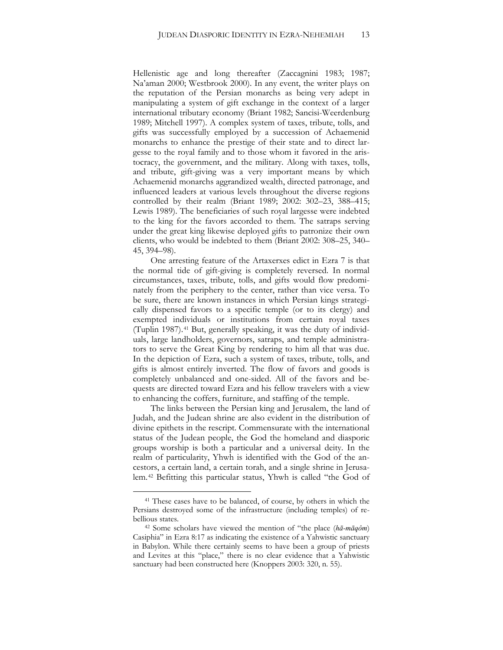Hellenistic age and long thereafter (Zaccagnini 1983; 1987; Na'aman 2000; Westbrook 2000). In any event, the writer plays on the reputation of the Persian monarchs as being very adept in manipulating a system of gift exchange in the context of a larger international tributary economy (Briant 1982; Sancisi-Weerdenburg 1989; Mitchell 1997). A complex system of taxes, tribute, tolls, and gifts was successfully employed by a succession of Achaemenid monarchs to enhance the prestige of their state and to direct largesse to the royal family and to those whom it favored in the aristocracy, the government, and the military. Along with taxes, tolls, and tribute, gift-giving was a very important means by which Achaemenid monarchs aggrandized wealth, directed patronage, and influenced leaders at various levels throughout the diverse regions controlled by their realm (Briant 1989; 2002: 302–23, 388–415; Lewis 1989). The beneficiaries of such royal largesse were indebted to the king for the favors accorded to them. The satraps serving under the great king likewise deployed gifts to patronize their own clients, who would be indebted to them (Briant 2002: 308–25, 340– 45, 394–98).

One arresting feature of the Artaxerxes edict in Ezra 7 is that the normal tide of gift-giving is completely reversed. In normal circumstances, taxes, tribute, tolls, and gifts would flow predominately from the periphery to the center, rather than vice versa. To be sure, there are known instances in which Persian kings strategically dispensed favors to a specific temple (or to its clergy) and exempted individuals or institutions from certain royal taxes (Tuplin 1987).[41](#page-12-3) But, generally speaking, it was the duty of individuals, large landholders, governors, satraps, and temple administrators to serve the Great King by rendering to him all that was due. In the depiction of Ezra, such a system of taxes, tribute, tolls, and gifts is almost entirely inverted. The flow of favors and goods is completely unbalanced and one-sided. All of the favors and bequests are directed toward Ezra and his fellow travelers with a view to enhancing the coffers, furniture, and staffing of the temple.

<span id="page-13-1"></span>The links between the Persian king and Jerusalem, the land of Judah, and the Judean shrine are also evident in the distribution of divine epithets in the rescript. Commensurate with the international status of the Judean people, the God the homeland and diasporic groups worship is both a particular and a universal deity. In the realm of particularity, Yhwh is identified with the God of the ancestors, a certain land, a certain torah, and a single shrine in Jerusalem.[42](#page-13-0) Befitting this particular status, Yhwh is called "the God of

<sup>&</sup>lt;sup>41</sup> These cases have to be balanced, of course, by others in which the Persians destroyed some of the infrastructure (including temples) of rebellious states.

<span id="page-13-0"></span><sup>42</sup> Some scholars have viewed the mention of "the place (*hā-māqôm*) Casiphia" in Ezra 8:17 as indicating the existence of a Yahwistic sanctuary in Babylon. While there certainly seems to have been a group of priests and Levites at this "place," there is no clear evidence that a Yahwistic sanctuary had been constructed here (Knoppers 2003: 320, n. 55).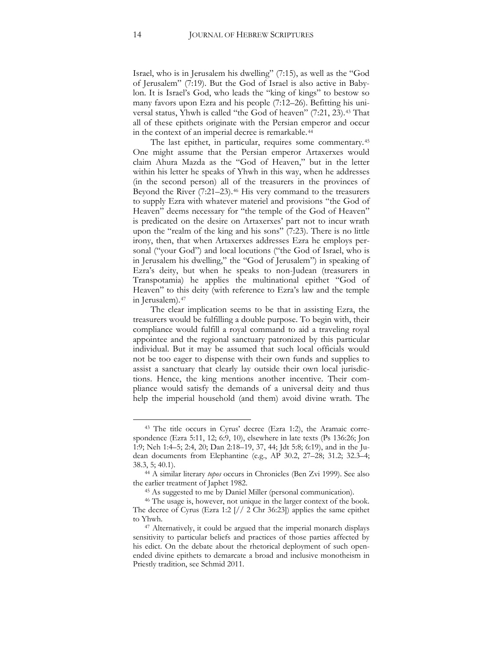Israel, who is in Jerusalem his dwelling" (7:15), as well as the "God of Jerusalem" (7:19). But the God of Israel is also active in Babylon. It is Israel's God, who leads the "king of kings" to bestow so many favors upon Ezra and his people (7:12–26). Befitting his uni-versal status, Yhwh is called "the God of heaven" (7:21, 23).<sup>[43](#page-13-1)</sup> That all of these epithets originate with the Persian emperor and occur in the context of an imperial decree is remarkable.<sup>[44](#page-14-0)</sup>

The last epithet, in particular, requires some commentary.[45](#page-14-1) One might assume that the Persian emperor Artaxerxes would claim Ahura Mazda as the "God of Heaven," but in the letter within his letter he speaks of Yhwh in this way, when he addresses (in the second person) all of the treasurers in the provinces of Beyond the River (7:21–23).<sup>[46](#page-14-2)</sup> His very command to the treasurers to supply Ezra with whatever materiel and provisions "the God of Heaven" deems necessary for "the temple of the God of Heaven" is predicated on the desire on Artaxerxes' part not to incur wrath upon the "realm of the king and his sons" (7:23). There is no little irony, then, that when Artaxerxes addresses Ezra he employs personal ("your God") and local locutions ("the God of Israel, who is in Jerusalem his dwelling," the "God of Jerusalem") in speaking of Ezra's deity, but when he speaks to non-Judean (treasurers in Transpotamia) he applies the multinational epithet "God of Heaven" to this deity (with reference to Ezra's law and the temple in Jerusalem).<sup>[47](#page-14-3)</sup>

The clear implication seems to be that in assisting Ezra, the treasurers would be fulfilling a double purpose. To begin with, their compliance would fulfill a royal command to aid a traveling royal appointee and the regional sanctuary patronized by this particular individual. But it may be assumed that such local officials would not be too eager to dispense with their own funds and supplies to assist a sanctuary that clearly lay outside their own local jurisdictions. Hence, the king mentions another incentive. Their compliance would satisfy the demands of a universal deity and thus help the imperial household (and them) avoid divine wrath. The

<span id="page-14-4"></span><sup>43</sup> The title occurs in Cyrus' decree (Ezra 1:2), the Aramaic correspondence (Ezra 5:11, 12; 6:9, 10), elsewhere in late texts (Ps 136:26; Jon 1:9; Neh 1:4–5; 2:4, 20; Dan 2:18–19, 37, 44; Jdt 5:8; 6:19), and in the Judean documents from Elephantine (e.g., AP 30.2, 27–28; 31.2; 32.3–4; 38.3, 5; 40.1). 44 A similar literary *topos* occurs in Chronicles (Ben Zvi 1999). See also

<span id="page-14-0"></span>the earlier treatment of Japhet 1982.

<sup>45</sup> As suggested to me by Daniel Miller (personal communication).

<span id="page-14-2"></span><span id="page-14-1"></span><sup>46</sup> The usage is, however, not unique in the larger context of the book. The decree of Cyrus (Ezra 1:2 [// 2 Chr 36:23]) applies the same epithet to Yhwh. 47 Alternatively, it could be argued that the imperial monarch displays

<span id="page-14-3"></span>sensitivity to particular beliefs and practices of those parties affected by his edict. On the debate about the rhetorical deployment of such openended divine epithets to demarcate a broad and inclusive monotheism in Priestly tradition, see Schmid 2011.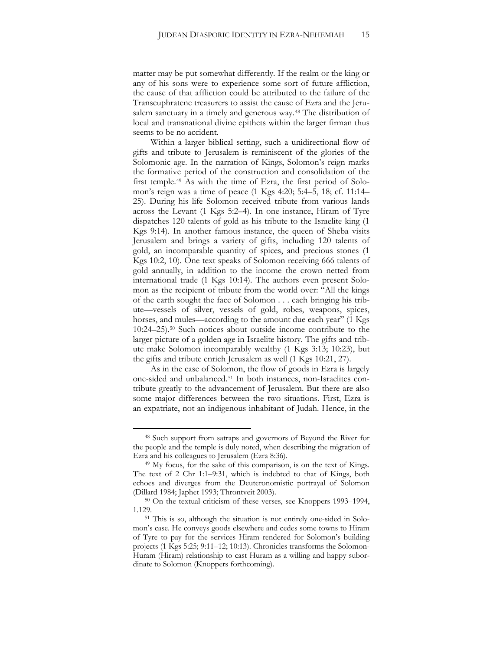matter may be put somewhat differently. If the realm or the king or any of his sons were to experience some sort of future affliction, the cause of that affliction could be attributed to the failure of the Transeuphratene treasurers to assist the cause of Ezra and the Jerusalem sanctuary in a timely and generous way.[48](#page-14-4) The distribution of local and transnational divine epithets within the larger firman thus seems to be no accident.

Within a larger biblical setting, such a unidirectional flow of gifts and tribute to Jerusalem is reminiscent of the glories of the Solomonic age. In the narration of Kings, Solomon's reign marks the formative period of the construction and consolidation of the first temple.[49](#page-15-0) As with the time of Ezra, the first period of Solomon's reign was a time of peace (1 Kgs 4:20; 5:4–5, 18; cf. 11:14– 25). During his life Solomon received tribute from various lands across the Levant (1 Kgs 5:2–4). In one instance, Hiram of Tyre dispatches 120 talents of gold as his tribute to the Israelite king (1 Kgs 9:14). In another famous instance, the queen of Sheba visits Jerusalem and brings a variety of gifts, including 120 talents of gold, an incomparable quantity of spices, and precious stones (1 Kgs 10:2, 10). One text speaks of Solomon receiving 666 talents of gold annually, in addition to the income the crown netted from international trade (1 Kgs 10:14). The authors even present Solomon as the recipient of tribute from the world over: "All the kings of the earth sought the face of Solomon . . . each bringing his tribute—vessels of silver, vessels of gold, robes, weapons, spices, horses, and mules—according to the amount due each year" (1 Kgs 10:24–25).[50](#page-15-1) Such notices about outside income contribute to the larger picture of a golden age in Israelite history. The gifts and tribute make Solomon incomparably wealthy (1 Kgs 3:13; 10:23), but the gifts and tribute enrich Jerusalem as well (1 Kgs 10:21, 27).

As in the case of Solomon, the flow of goods in Ezra is largely one-sided and unbalanced.[51](#page-15-2) In both instances, non-Israelites contribute greatly to the advancement of Jerusalem. But there are also some major differences between the two situations. First, Ezra is an expatriate, not an indigenous inhabitant of Judah. Hence, in the

<sup>48</sup> Such support from satraps and governors of Beyond the River for the people and the temple is duly noted, when describing the migration of Ezra and his colleagues to Jerusalem (Ezra 8:36).

<span id="page-15-0"></span><sup>&</sup>lt;sup>49</sup> My focus, for the sake of this comparison, is on the text of Kings. The text of 2 Chr 1:1–9:31, which is indebted to that of Kings, both echoes and diverges from the Deuteronomistic portrayal of Solomon (Dillard 1984; Japhet 1993; Throntveit 2003).

<span id="page-15-2"></span><span id="page-15-1"></span><sup>50</sup> On the textual criticism of these verses, see Knoppers 1993–1994, 1.129.

<sup>51</sup> This is so, although the situation is not entirely one-sided in Solomon's case. He conveys goods elsewhere and cedes some towns to Hiram of Tyre to pay for the services Hiram rendered for Solomon's building projects (1 Kgs 5:25; 9:11–12; 10:13). Chronicles transforms the Solomon-Huram (Hiram) relationship to cast Huram as a willing and happy subordinate to Solomon (Knoppers forthcoming).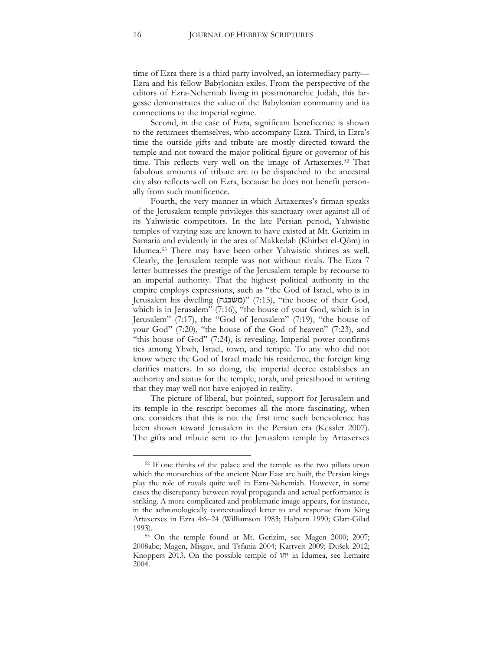time of Ezra there is a third party involved, an intermediary party— Ezra and his fellow Babylonian exiles. From the perspective of the editors of Ezra-Nehemiah living in postmonarchic Judah, this largesse demonstrates the value of the Babylonian community and its connections to the imperial regime.

Second, in the case of Ezra, significant beneficence is shown to the returnees themselves, who accompany Ezra. Third, in Ezra's time the outside gifts and tribute are mostly directed toward the temple and not toward the major political figure or governor of his time. This reflects very well on the image of Artaxerxes.[52](#page-15-0) That fabulous amounts of tribute are to be dispatched to the ancestral city also reflects well on Ezra, because he does not benefit personally from such munificence.

Fourth, the very manner in which Artaxerxes's firman speaks of the Jerusalem temple privileges this sanctuary over against all of its Yahwistic competitors. In the late Persian period, Yahwistic temples of varying size are known to have existed at Mt. Gerizim in Samaria and evidently in the area of Makkedah (Khirbet el-Qôm) in Idumea.<sup>53</sup> There may have been other Yahwistic shrines as well. Clearly, the Jerusalem temple was not without rivals. The Ezra 7 letter buttresses the prestige of the Jerusalem temple by recourse to an imperial authority. That the highest political authority in the empire employs expressions, such as "the God of Israel, who is in Jerusalem his dwelling (משכנה)" (7:15), "the house of their God, which is in Jerusalem" (7:16), "the house of your God, which is in Jerusalem" (7:17), the "God of Jerusalem" (7:19), "the house of your God" (7:20), "the house of the God of heaven" (7:23), and "this house of God" (7:24), is revealing. Imperial power confirms ties among Yhwh, Israel, town, and temple. To any who did not know where the God of Israel made his residence, the foreign king clarifies matters. In so doing, the imperial decree establishes an authority and status for the temple, torah, and priesthood in writing that they may well not have enjoyed in reality.

<span id="page-16-0"></span>The picture of liberal, but pointed, support for Jerusalem and its temple in the rescript becomes all the more fascinating, when one considers that this is not the first time such benevolence has been shown toward Jerusalem in the Persian era (Kessler 2007). The gifts and tribute sent to the Jerusalem temple by Artaxerxes

<sup>52</sup> If one thinks of the palace and the temple as the two pillars upon which the monarchies of the ancient Near East are built, the Persian kings play the role of royals quite well in Ezra-Nehemiah. However, in some cases the discrepancy between royal propaganda and actual performance is striking. A more complicated and problematic image appears, for instance, in the achronologically contextualized letter to and response from King Artaxerxes in Ezra 4:6–24 (Williamson 1983; Halpern 1990; Glatt-Gilad

<span id="page-16-1"></span><sup>1993). 53</sup> On the temple found at Mt. Gerizim, see Magen 2000; 2007; 2008abc; Magen, Misgav, and Tsfania 2004; Kartveit 2009; Dušek 2012; Knoppers 2013. On the possible temple of יהו in Idumea, see Lemaire 2004.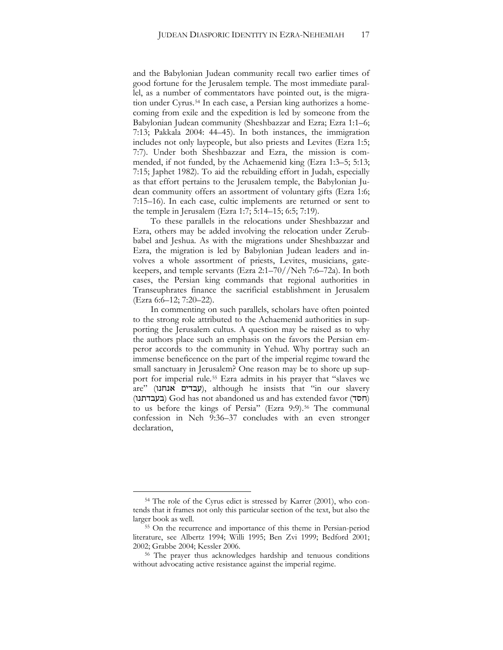and the Babylonian Judean community recall two earlier times of good fortune for the Jerusalem temple. The most immediate parallel, as a number of commentators have pointed out, is the migra-tion under Cyrus.<sup>[54](#page-16-1)</sup> In each case, a Persian king authorizes a homecoming from exile and the expedition is led by someone from the Babylonian Judean community (Sheshbazzar and Ezra; Ezra 1:1–6; 7:13; Pakkala 2004: 44–45). In both instances, the immigration includes not only laypeople, but also priests and Levites (Ezra 1:5; 7:7). Under both Sheshbazzar and Ezra, the mission is commended, if not funded, by the Achaemenid king (Ezra 1:3–5; 5:13; 7:15; Japhet 1982). To aid the rebuilding effort in Judah, especially as that effort pertains to the Jerusalem temple, the Babylonian Judean community offers an assortment of voluntary gifts (Ezra 1:6; 7:15–16). In each case, cultic implements are returned or sent to the temple in Jerusalem (Ezra 1:7; 5:14–15; 6:5; 7:19).

To these parallels in the relocations under Sheshbazzar and Ezra, others may be added involving the relocation under Zerubbabel and Jeshua. As with the migrations under Sheshbazzar and Ezra, the migration is led by Babylonian Judean leaders and involves a whole assortment of priests, Levites, musicians, gatekeepers, and temple servants (Ezra 2:1–70//Neh 7:6–72a). In both cases, the Persian king commands that regional authorities in Transeuphrates finance the sacrificial establishment in Jerusalem (Ezra 6:6–12; 7:20–22).

In commenting on such parallels, scholars have often pointed to the strong role attributed to the Achaemenid authorities in supporting the Jerusalem cultus. A question may be raised as to why the authors place such an emphasis on the favors the Persian emperor accords to the community in Yehud. Why portray such an immense beneficence on the part of the imperial regime toward the small sanctuary in Jerusalem? One reason may be to shore up support for imperial rule.<sup>55</sup> Ezra admits in his prayer that "slaves we  $\alpha$ עבדים אנחנו), although he insists that "in our slavery (בעבדתנו) God has not abandoned us and has extended favor (בעבדתנו to us before the kings of Persia" (Ezra 9:9).<sup>56</sup> The communal confession in Neh 9:36–37 concludes with an even stronger declaration,

<sup>54</sup> The role of the Cyrus edict is stressed by Karrer (2001), who contends that it frames not only this particular section of the text, but also the larger book as well.

<sup>55</sup> On the recurrence and importance of this theme in Persian-period literature, see Albertz 1994; Willi 1995; Ben Zvi 1999; Bedford 2001; 2002; Grabbe 2004; Kessler 2006.

<sup>56</sup> The prayer thus acknowledges hardship and tenuous conditions without advocating active resistance against the imperial regime.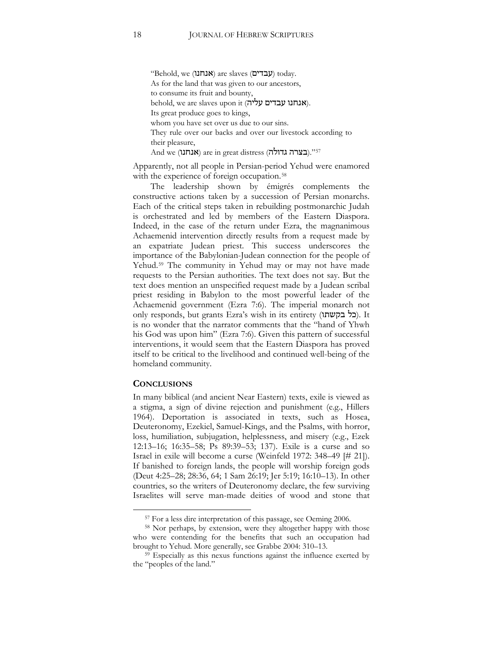"Behold, we (אנחנו) are slaves (עבדים) today. As for the land that was given to our ancestors, to consume its fruit and bounty, behold, we are slaves upon it  $(\forall \forall \tau)$ אנחנו (אנחנו $\lambda$ ). Its great produce goes to kings, whom you have set over us due to our sins. They rule over our backs and over our livestock according to their pleasure,

And we (**אנחנו)** are in great distress (בצרה גדולה). $^{\prime}$ 57

Apparently, not all people in Persian-period Yehud were enamored with the experience of foreign occupation.<sup>58</sup>

The leadership shown by émigrés complements the constructive actions taken by a succession of Persian monarchs. Each of the critical steps taken in rebuilding postmonarchic Judah is orchestrated and led by members of the Eastern Diaspora. Indeed, in the case of the return under Ezra, the magnanimous Achaemenid intervention directly results from a request made by an expatriate Judean priest. This success underscores the importance of the Babylonian-Judean connection for the people of Yehud.<sup>59</sup> The community in Yehud may or may not have made requests to the Persian authorities. The text does not say. But the text does mention an unspecified request made by a Judean scribal priest residing in Babylon to the most powerful leader of the Achaemenid government (Ezra 7:6). The imperial monarch not only responds, but grants Ezra's wish in its entirety (בל בקשתו). It is no wonder that the narrator comments that the "hand of Yhwh his God was upon him" (Ezra 7:6). Given this pattern of successful interventions, it would seem that the Eastern Diaspora has proved itself to be critical to the livelihood and continued well-being of the homeland community.

#### **CONCLUSIONS**

 $\overline{a}$ 

<span id="page-18-0"></span>In many biblical (and ancient Near Eastern) texts, exile is viewed as a stigma, a sign of divine rejection and punishment (e.g., Hillers 1964). Deportation is associated in texts, such as Hosea, Deuteronomy, Ezekiel, Samuel-Kings, and the Psalms, with horror, loss, humiliation, subjugation, helplessness, and misery (e.g., Ezek 12:13–16; 16:35–58; Ps 89:39–53; 137). Exile is a curse and so Israel in exile will become a curse (Weinfeld 1972: 348–49 [# 21]). If banished to foreign lands, the people will worship foreign gods (Deut 4:25–28; 28:36, 64; 1 Sam 26:19; Jer 5:19; 16:10–13). In other countries, so the writers of Deuteronomy declare, the few surviving Israelites will serve man-made deities of wood and stone that

<sup>57</sup> For a less dire interpretation of this passage, see Oeming 2006.

<sup>58</sup> Nor perhaps, by extension, were they altogether happy with those who were contending for the benefits that such an occupation had brought to Yehud. More generally, see Grabbe 2004: 310–13.

<sup>59</sup> Especially as this nexus functions against the influence exerted by the "peoples of the land."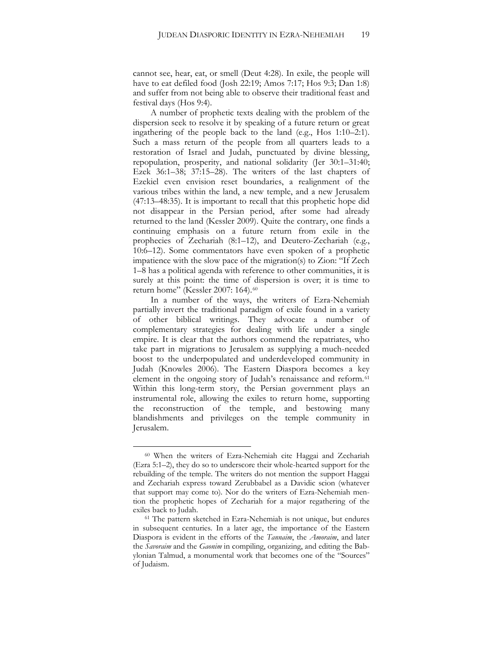cannot see, hear, eat, or smell (Deut 4:28). In exile, the people will have to eat defiled food (Josh 22:19; Amos 7:17; Hos 9:3; Dan 1:8) and suffer from not being able to observe their traditional feast and festival days (Hos 9:4).

A number of prophetic texts dealing with the problem of the dispersion seek to resolve it by speaking of a future return or great ingathering of the people back to the land (e.g., Hos 1:10–2:1). Such a mass return of the people from all quarters leads to a restoration of Israel and Judah, punctuated by divine blessing, repopulation, prosperity, and national solidarity (Jer 30:1–31:40; Ezek 36:1–38; 37:15–28). The writers of the last chapters of Ezekiel even envision reset boundaries, a realignment of the various tribes within the land, a new temple, and a new Jerusalem (47:13–48:35). It is important to recall that this prophetic hope did not disappear in the Persian period, after some had already returned to the land (Kessler 2009). Quite the contrary, one finds a continuing emphasis on a future return from exile in the prophecies of Zechariah (8:1–12), and Deutero-Zechariah (e.g., 10:6–12). Some commentators have even spoken of a prophetic impatience with the slow pace of the migration(s) to Zion: "If Zech 1–8 has a political agenda with reference to other communities, it is surely at this point: the time of dispersion is over; it is time to return home" (Kessler 2007: 164).[60](#page-18-0)

In a number of the ways, the writers of Ezra-Nehemiah partially invert the traditional paradigm of exile found in a variety of other biblical writings. They advocate a number of complementary strategies for dealing with life under a single empire. It is clear that the authors commend the repatriates, who take part in migrations to Jerusalem as supplying a much-needed boost to the underpopulated and underdeveloped community in Judah (Knowles 2006). The Eastern Diaspora becomes a key element in the ongoing story of Judah's renaissance and reform.<sup>[61](#page-19-0)</sup> Within this long-term story, the Persian government plays an instrumental role, allowing the exiles to return home, supporting the reconstruction of the temple, and bestowing many blandishments and privileges on the temple community in Jerusalem.

<sup>60</sup> When the writers of Ezra-Nehemiah cite Haggai and Zechariah (Ezra 5:1–2), they do so to underscore their whole-hearted support for the rebuilding of the temple. The writers do not mention the support Haggai and Zechariah express toward Zerubbabel as a Davidic scion (whatever that support may come to). Nor do the writers of Ezra-Nehemiah mention the prophetic hopes of Zechariah for a major regathering of the exiles back to Judah.

<span id="page-19-0"></span><sup>61</sup> The pattern sketched in Ezra-Nehemiah is not unique, but endures in subsequent centuries. In a later age, the importance of the Eastern Diaspora is evident in the efforts of the *Tannaim*, the *Amoraim*, and later the *Savoraim* and the *Gaonim* in compiling, organizing, and editing the Babylonian Talmud, a monumental work that becomes one of the "Sources" of Judaism.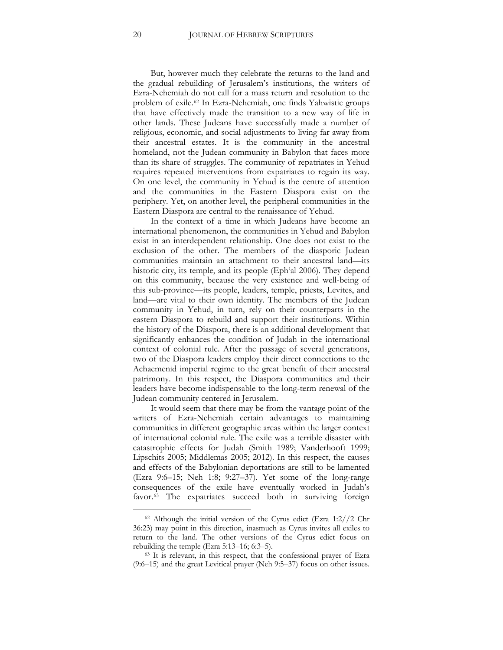But, however much they celebrate the returns to the land and the gradual rebuilding of Jerusalem's institutions, the writers of Ezra-Nehemiah do not call for a mass return and resolution to the problem of exile.[62](#page-19-0) In Ezra-Nehemiah, one finds Yahwistic groups that have effectively made the transition to a new way of life in other lands. These Judeans have successfully made a number of religious, economic, and social adjustments to living far away from their ancestral estates. It is the community in the ancestral homeland, not the Judean community in Babylon that faces more than its share of struggles. The community of repatriates in Yehud requires repeated interventions from expatriates to regain its way. On one level, the community in Yehud is the centre of attention and the communities in the Eastern Diaspora exist on the periphery. Yet, on another level, the peripheral communities in the Eastern Diaspora are central to the renaissance of Yehud.

In the context of a time in which Judeans have become an international phenomenon, the communities in Yehud and Babylon exist in an interdependent relationship. One does not exist to the exclusion of the other. The members of the diasporic Judean communities maintain an attachment to their ancestral land—its historic city, its temple, and its people (Eph'al 2006). They depend on this community, because the very existence and well-being of this sub-province—its people, leaders, temple, priests, Levites, and land—are vital to their own identity. The members of the Judean community in Yehud, in turn, rely on their counterparts in the eastern Diaspora to rebuild and support their institutions. Within the history of the Diaspora, there is an additional development that significantly enhances the condition of Judah in the international context of colonial rule. After the passage of several generations, two of the Diaspora leaders employ their direct connections to the Achaemenid imperial regime to the great benefit of their ancestral patrimony. In this respect, the Diaspora communities and their leaders have become indispensable to the long-term renewal of the Judean community centered in Jerusalem.

It would seem that there may be from the vantage point of the writers of Ezra-Nehemiah certain advantages to maintaining communities in different geographic areas within the larger context of international colonial rule. The exile was a terrible disaster with catastrophic effects for Judah (Smith 1989; Vanderhooft 1999; Lipschits 2005; Middlemas 2005; 2012). In this respect, the causes and effects of the Babylonian deportations are still to be lamented (Ezra 9:6–15; Neh 1:8; 9:27–37). Yet some of the long-range consequences of the exile have eventually worked in Judah's favor.<sup>[63](#page-20-0)</sup> The expatriates succeed both in surviving foreign

 $62$  Although the initial version of the Cyrus edict (Ezra 1:2//2 Chr 36:23) may point in this direction, inasmuch as Cyrus invites all exiles to return to the land. The other versions of the Cyrus edict focus on rebuilding the temple (Ezra 5:13–16; 6:3–5). 63 It is relevant, in this respect, that the confessional prayer of Ezra

<span id="page-20-0"></span><sup>(9:6–15)</sup> and the great Levitical prayer (Neh 9:5–37) focus on other issues.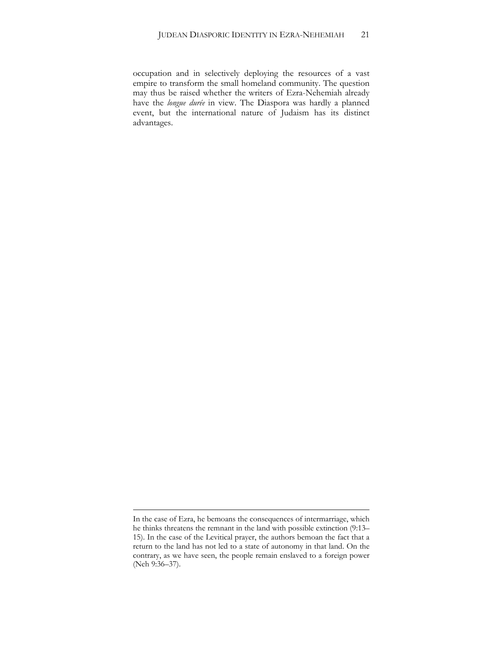occupation and in selectively deploying the resources of a vast empire to transform the small homeland community. The question may thus be raised whether the writers of Ezra-Nehemiah already have the *longue durée* in view. The Diaspora was hardly a planned event, but the international nature of Judaism has its distinct advantages.

In the case of Ezra, he bemoans the consequences of intermarriage, which he thinks threatens the remnant in the land with possible extinction (9:13– 15). In the case of the Levitical prayer, the authors bemoan the fact that a return to the land has not led to a state of autonomy in that land. On the contrary, as we have seen, the people remain enslaved to a foreign power (Neh 9:36–37).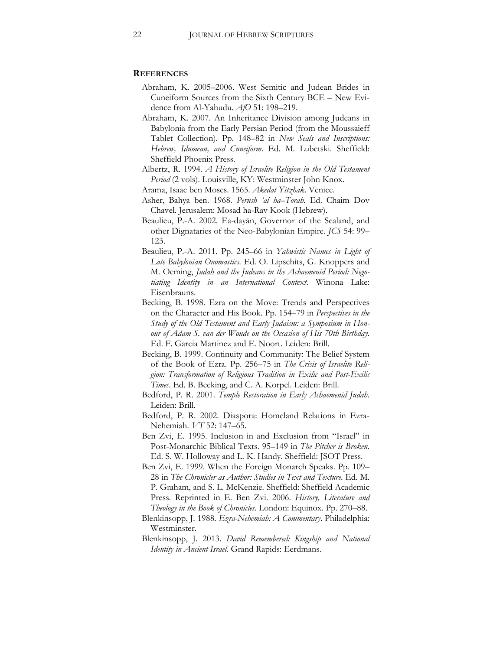#### **REFERENCES**

- Abraham, K. 2005–2006. West Semitic and Judean Brides in Cuneiform Sources from the Sixth Century BCE – New Evidence from Al-Yahudu. *AfO* 51: 198–219.
- Abraham, K. 2007. An Inheritance Division among Judeans in Babylonia from the Early Persian Period (from the Moussaieff Tablet Collection). Pp. 148–82 in *New Seals and Inscriptions: Hebrew, Idumean, and Cuneiform*. Ed. M. Lubetski. Sheffield: Sheffield Phoenix Press.
- Albertz, R. 1994. *A History of Israelite Religion in the Old Testament Period* (2 vols). Louisville, KY: Westminster John Knox.
- Arama, Isaac ben Moses. 1565. *Akedat Yitzhak*. Venice.
- Asher, Bahya ben. 1968. *Perush 'al ha–Torah*. Ed. Chaim Dov Chavel. Jerusalem: Mosad ha-Rav Kook (Hebrew).
- Beaulieu, P.-A. 2002. Ea-dayān, Governor of the Sealand, and other Dignataries of the Neo-Babylonian Empire. *JCS* 54: 99– 123.
- Beaulieu, P.-A. 2011. Pp. 245–66 in *Yahwistic Names in Light of Late Babylonian Onomastics*. Ed. O. Lipschits, G. Knoppers and M. Oeming, *Judah and the Judeans in the Achaemenid Period: Negotiating Identity in an International Context*. Winona Lake: Eisenbrauns.
- Becking, B. 1998. Ezra on the Move: Trends and Perspectives on the Character and His Book. Pp. 154–79 in *Perspectives in the Study of the Old Testament and Early Judaism: a Symposium in Honour of Adam S. van der Woude on the Occasion of His 70th Birthday*. Ed. F. Garcia Martinez and E. Noort. Leiden: Brill.
- Becking, B. 1999. Continuity and Community: The Belief System of the Book of Ezra. Pp. 256–75 in *The Crisis of Israelite Religion: Transformation of Religious Tradition in Exilic and Post-Exilic Times*. Ed. B. Becking, and C. A. Korpel. Leiden: Brill.
- Bedford, P. R. 2001. *Temple Restoration in Early Achaemenid Judah*. Leiden: Brill.
- Bedford, P. R. 2002. Diaspora: Homeland Relations in Ezra-Nehemiah. *VT* 52: 147–65.
- Ben Zvi, E. 1995. Inclusion in and Exclusion from "Israel" in Post-Monarchic Biblical Texts. 95–149 in *The Pitcher is Broken*. Ed. S. W. Holloway and L. K. Handy. Sheffield: JSOT Press.
- Ben Zvi, E. 1999. When the Foreign Monarch Speaks. Pp. 109– 28 in *The Chronicler as Author: Studies in Text and Texture*. Ed. M. P. Graham, and S. L. McKenzie*.* Sheffield: Sheffield Academic Press. Reprinted in E. Ben Zvi. 2006. *History, Literature and Theology in the Book of Chronicles*. London: Equinox. Pp. 270–88.
- Blenkinsopp, J. 1988. *Ezra-Nehemiah: A Commentary*. Philadelphia: Westminster.
- Blenkinsopp, J. 2013. *David Remembered: Kingship and National Identity in Ancient Israel.* Grand Rapids: Eerdmans.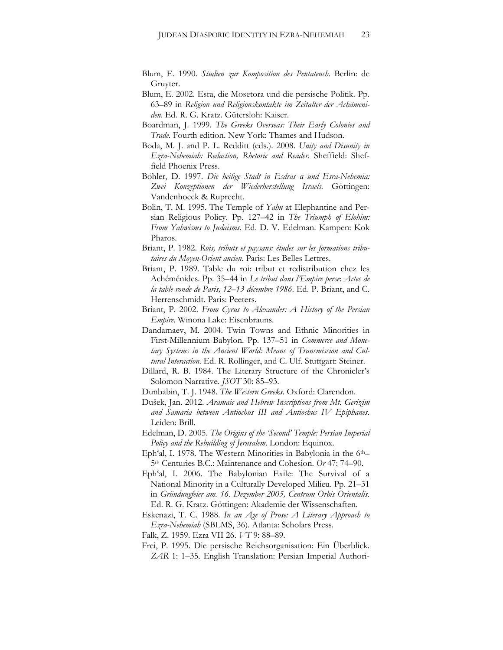- Blum, E. 1990. *Studien zur Komposition des Pentateuch*. Berlin: de Gruyter.
- Blum, E. 2002. Esra, die Mosetora und die persische Politik. Pp. 63–89 in *Religion und Religionskontakte im Zeitalter der Achämeniden*. Ed. R. G. Kratz. Gütersloh: Kaiser.
- Boardman, J. 1999. *The Greeks Overseas: Their Early Colonies and Trade*. Fourth edition. New York: Thames and Hudson.
- Boda, M. J. and P. L. Redditt (eds.). 2008. *Unity and Disunity in Ezra-Nehemiah: Redaction, Rhetoric and Reader*. Sheffield: Sheffield Phoenix Press.
- Böhler, D. 1997. *Die heilige Stadt in Esdras α und Esra-Nehemia: Zwei Konzeptionen der Wiederherstellung Israels*. Göttingen: Vandenhoeck & Ruprecht.
- Bolin, T. M. 1995. The Temple of *Yahu* at Elephantine and Persian Religious Policy. Pp. 127–42 in *The Triumph of Elohim: From Yahwisms to Judaisms*. Ed. D. V. Edelman. Kampen: Kok Pharos.
- Briant, P. 1982. *Rois, tributs et paysans: études sur les formations tributaires du Moyen-Orient ancien*. Paris: Les Belles Lettres.
- Briant, P. 1989. Table du roi: tribut et redistribution chez les Achéménides. Pp. 35–44 in *Le tribut dans l'Empire perse*: *Actes de la table ronde de Paris, 12*–*13 décembre 1986*. Ed. P. Briant, and C. Herrenschmidt. Paris: Peeters.
- Briant, P. 2002. *From Cyrus to Alexander: A History of the Persian Empire*. Winona Lake: Eisenbrauns.
- Dandamaev, M. 2004. Twin Towns and Ethnic Minorities in First-Millennium Babylon. Pp. 137–51 in *Commerce and Monetary Systems in the Ancient World: Means of Transmission and Cultural Interaction*. Ed. R. Rollinger, and C. Ulf. Stuttgart: Steiner.
- Dillard, R. B. 1984. The Literary Structure of the Chronicler's Solomon Narrative. *JSOT* 30: 85–93.
- Dunbabin, T. J. 1948. *The Western Greeks*. Oxford: Clarendon.
- Dušek, Jan. 2012. *Aramaic and Hebrew Inscriptions from Mt. Gerizim and Samaria between Antiochus III and Antiochus IV Epiphanes*. Leiden: Brill.
- Edelman, D. 2005. *The Origins of the 'Second' Temple: Persian Imperial Policy and the Rebuilding of Jerusalem*. London: Equinox.
- Eph'al, I. 1978. The Western Minorities in Babylonia in the 6th– 5th Centuries B.C.: Maintenance and Cohesion. *Or* 47: 74–90.
- Eph'al, I. 2006. The Babylonian Exile: The Survival of a National Minority in a Culturally Developed Milieu. Pp. 21–31 in *Gründungfeier am. 16. Dezember 2005, Centrum Orbis Orientalis*. Ed. R. G. Kratz. Göttingen: Akademie der Wissenschaften.
- Eskenazi, T. C. 1988. *In an Age of Prose: A Literary Approach to Ezra-Nehemiah* (SBLMS, 36). Atlanta: Scholars Press.
- Falk, Z. 1959. Ezra VII 26. *VT* 9: 88–89.
- Frei, P. 1995. Die persische Reichsorganisation: Ein Überblick. *ZAR* 1: 1–35. English Translation: Persian Imperial Authori-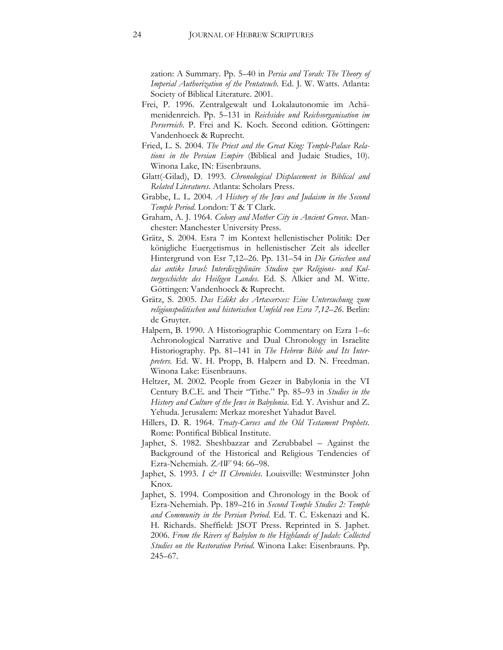zation: A Summary. Pp. 5–40 in *Persia and Torah: The Theory of Imperial Authorization of the Pentateuch*. Ed. J. W. Watts. Atlanta: Society of Biblical Literature. 2001.

- Frei, P. 1996. Zentralgewalt und Lokalautonomie im Achämenidenreich. Pp. 5–131 in *Reichsidee und Reichsorganisation im Perserreich*. P. Frei and K. Koch. Second edition. Göttingen: Vandenhoeck & Ruprecht.
- Fried, L. S. 2004. *The Priest and the Great King: Temple-Palace Relations in the Persian Empire* (Biblical and Judaic Studies, 10). Winona Lake, IN: Eisenbrauns.
- Glatt(-Gilad), D. 1993. *Chronological Displacement in Biblical and Related Literatures*. Atlanta: Scholars Press.
- Grabbe, L. L. 2004. *A History of the Jews and Judaism in the Second Temple Period*. London: T & T Clark.
- Graham, A. J. 1964. *Colony and Mother City in Ancient Greece*. Manchester: Manchester University Press.
- Grätz, S. 2004. Esra 7 im Kontext hellenistischer Politik: Der königliche Euergetismus in hellenistischer Zeit als ideeller Hintergrund von Esr 7,12–26. Pp. 131–54 in *Die Griechen und das antike Israel: Interdisziplinäre Studien zur Religions- und Kulturgeschichte des Heiligen Landes*. Ed. S. Alkier and M. Witte. Göttingen: Vandenhoeck & Ruprecht.
- Grätz, S. 2005. *Das Edikt des Artaxerxes: Eine Untersuchung zum religionspolitischen und historischen Umfeld von Esra 7,12–26*. Berlin: de Gruyter.
- Halpern, B. 1990. A Historiographic Commentary on Ezra 1–6: Achronological Narrative and Dual Chronology in Israelite Historiography. Pp. 81–141 in *The Hebrew Bible and Its Interpreters*. Ed. W. H. Propp, B. Halpern and D. N. Freedman. Winona Lake: Eisenbrauns.
- Heltzer, M. 2002. People from Gezer in Babylonia in the VI Century B.C.E. and Their "Tithe." Pp. 85–93 in *Studies in the History and Culture of the Jews in Babylonia*. Ed. Y. Avishur and Z. Yehuda. Jerusalem: Merkaz moreshet Yahadut Bavel.
- Hillers, D. R. 1964. *Treaty-Curses and the Old Testament Prophets*. Rome: Pontifical Biblical Institute.
- Japhet, S. 1982. Sheshbazzar and Zerubbabel Against the Background of the Historical and Religious Tendencies of Ezra-Nehemiah. *ZAW* 94: 66–98.
- Japhet, S. 1993. *I & II Chronicles*. Louisville: Westminster John Knox.
- Japhet, S. 1994. Composition and Chronology in the Book of Ezra-Nehemiah. Pp. 189–216 in *Second Temple Studies 2: Temple and Community in the Persian Period*. Ed. T. C. Eskenazi and K. H. Richards. Sheffield: JSOT Press. Reprinted in S. Japhet. 2006. *From the Rivers of Babylon to the Highlands of Judah: Collected Studies on the Restoration Period*. Winona Lake: Eisenbrauns. Pp. 245–67.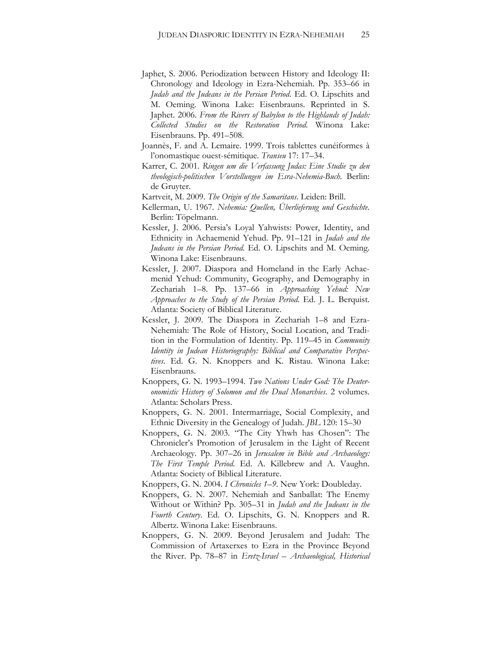- Japhet, S. 2006. Periodization between History and Ideology II: Chronology and Ideology in Ezra-Nehemiah. Pp. 353–66 in *Judah and the Judeans in the Persian Period*. Ed. O. Lipschits and M. Oeming. Winona Lake: Eisenbrauns. Reprinted in S. Japhet. 2006. *From the Rivers of Babylon to the Highlands of Judah: Collected Studies on the Restoration Period*. Winona Lake: Eisenbrauns. Pp. 491–508.
- Joannès, F. and A. Lemaire. 1999. Trois tablettes cunéiformes à l'onomastique ouest-sémitique. *Transeu* 17: 17–34.
- Karrer, C. 2001. *Ringen um die Verfassung Judas: Eine Studie zu den theologisch-politischen Vorstellungen im Esra-Nehemia-Buch*. Berlin: de Gruyter.
- Kartveit, M. 2009. *The Origin of the Samaritans*. Leiden: Brill.
- Kellerman, U. 1967. *Nehemia: Quellen, Überlieferung und Geschichte*. Berlin: Töpelmann.
- Kessler, J. 2006. Persia's Loyal Yahwists: Power, Identity, and Ethnicity in Achaemenid Yehud. Pp. 91–121 in *Judah and the Judeans in the Persian Period*. Ed. O. Lipschits and M. Oeming. Winona Lake: Eisenbrauns.
- Kessler, J. 2007. Diaspora and Homeland in the Early Achaemenid Yehud: Community, Geography, and Demography in Zechariah 1–8. Pp. 137–66 in *Approaching Yehud: New Approaches to the Study of the Persian Period*. Ed. J. L. Berquist*.*  Atlanta: Society of Biblical Literature.
- Kessler, J. 2009. The Diaspora in Zechariah 1–8 and Ezra-Nehemiah: The Role of History, Social Location, and Tradition in the Formulation of Identity. Pp. 119–45 in *Community Identity in Judean Historiography: Biblical and Comparative Perspectives*. Ed. G. N. Knoppers and K. Ristau. Winona Lake: Eisenbrauns.
- Knoppers, G. N. 1993–1994. *Two Nations Under God: The Deuteronomistic History of Solomon and the Dual Monarchies*. 2 volumes. Atlanta: Scholars Press.
- Knoppers, G. N. 2001. Intermarriage, Social Complexity, and Ethnic Diversity in the Genealogy of Judah. *JBL* 120: 15–30
- Knoppers, G. N. 2003. "The City Yhwh has Chosen": The Chronicler's Promotion of Jerusalem in the Light of Recent Archaeology. Pp. 307–26 in *Jerusalem in Bible and Archaeology: The First Temple Period*. Ed. A. Killebrew and A. Vaughn. Atlanta: Society of Biblical Literature.
- Knoppers, G. N. 2004. *I Chronicles 1–9*. New York: Doubleday.
- Knoppers, G. N. 2007. Nehemiah and Sanballat: The Enemy Without or Within? Pp. 305–31 in *Judah and the Judeans in the Fourth Century*. Ed. O. Lipschits, G. N. Knoppers and R. Albertz. Winona Lake: Eisenbrauns.
- Knoppers, G. N. 2009. Beyond Jerusalem and Judah: The Commission of Artaxerxes to Ezra in the Province Beyond the River. Pp. 78–87 in *Eretz-Israel – Archaeological, Historical*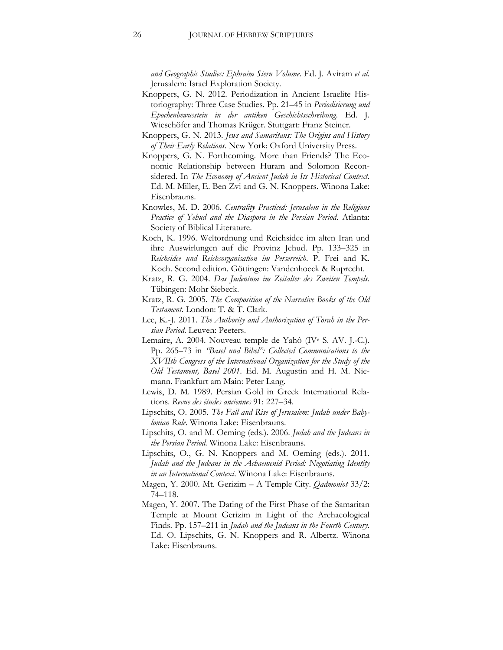*and Geographic Studies: Ephraim Stern Volume*. Ed. J. Aviram *et al*. Jerusalem: Israel Exploration Society.

- Knoppers, G. N. 2012. Periodization in Ancient Israelite Historiography: Three Case Studies. Pp. 21–45 in *Periodisierung und Epochenbewusstein in der antiken Geschichtsschreibung*. Ed. J. Wiesehöfer and Thomas Krüger. Stuttgart: Franz Steiner.
- Knoppers, G. N. 2013. *Jews and Samaritans: The Origins and History of Their Early Relations*. New York: Oxford University Press.
- Knoppers, G. N. Forthcoming. More than Friends? The Economic Relationship between Huram and Solomon Reconsidered. In *The Economy of Ancient Judah in Its Historical Context*. Ed. M. Miller, E. Ben Zvi and G. N. Knoppers. Winona Lake: Eisenbrauns.
- Knowles, M. D. 2006. *Centrality Practiced: Jerusalem in the Religious Practice of Yehud and the Diaspora in the Persian Period*. Atlanta: Society of Biblical Literature.
- Koch, K. 1996. Weltordnung und Reichsidee im alten Iran und ihre Auswirlungen auf die Provinz Jehud. Pp. 133–325 in *Reichsidee und Reichsorganisation im Perserreich*. P. Frei and K. Koch. Second edition. Göttingen: Vandenhoeck & Ruprecht.
- Kratz, R. G. 2004. *Das Judentum im Zeitalter des Zweiten Tempels*. Tübingen: Mohr Siebeck.
- Kratz, R. G. 2005. *The Composition of the Narrative Books of the Old Testament*. London: T. & T. Clark.
- Lee, K.-J. 2011. *The Authority and Authorization of Torah in the Persian Period*. Leuven: Peeters.
- Lemaire, A. 2004. Nouveau temple de Yahô (IVe S. AV. J.-C.). Pp. 265–73 in *"Basel und Bibel": Collected Communications to the XVIIth Congress of the International Organization for the Study of the Old Testament, Basel 2001*. Ed. M. Augustin and H. M. Niemann. Frankfurt am Main: Peter Lang.
- Lewis, D. M. 1989. Persian Gold in Greek International Relations. *Revue des études anciennes* 91: 227–34.
- Lipschits, O. 2005. *The Fall and Rise of Jerusalem: Judah under Babylonian Rule*. Winona Lake: Eisenbrauns.
- Lipschits, O. and M. Oeming (eds.). 2006. *Judah and the Judeans in the Persian Period*. Winona Lake: Eisenbrauns.
- Lipschits, O., G. N. Knoppers and M. Oeming (eds.). 2011. *Judah and the Judeans in the Achaemenid Period: Negotiating Identity in an International Context*. Winona Lake: Eisenbrauns.
- Magen, Y. 2000. Mt. Gerizim A Temple City. *Qadmoniot* 33/2: 74–118.
- Magen, Y. 2007. The Dating of the First Phase of the Samaritan Temple at Mount Gerizim in Light of the Archaeological Finds. Pp. 157–211 in *Judah and the Judeans in the Fourth Century*. Ed. O. Lipschits, G. N. Knoppers and R. Albertz. Winona Lake: Eisenbrauns.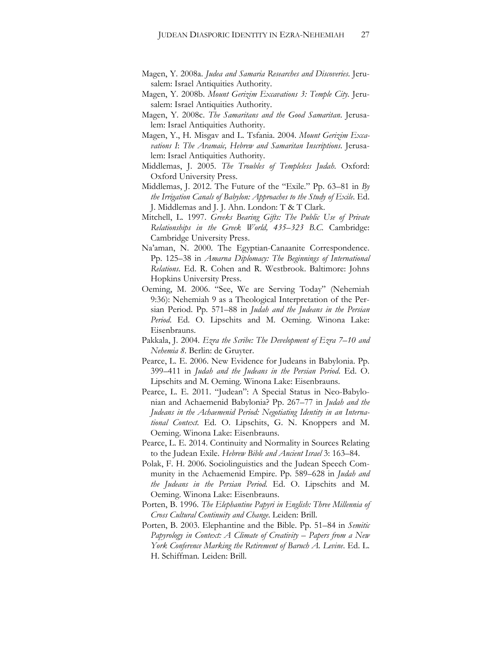- Magen, Y. 2008a. *Judea and Samaria Researches and Discoveries*. Jerusalem: Israel Antiquities Authority.
- Magen, Y. 2008b. *Mount Gerizim Excavations 3: Temple City*. Jerusalem: Israel Antiquities Authority.
- Magen, Y. 2008c. *The Samaritans and the Good Samaritan*. Jerusalem: Israel Antiquities Authority.
- Magen, Y., H. Misgav and L. Tsfania. 2004. *Mount Gerizim Excavations I*: *The Aramaic, Hebrew and Samaritan Inscriptions*. Jerusalem: Israel Antiquities Authority.
- Middlemas, J. 2005. *The Troubles of Templeless Judah*. Oxford: Oxford University Press.
- Middlemas, J. 2012. The Future of the "Exile." Pp. 63–81 in *By the Irrigation Canals of Babylon: Approaches to the Study of Exile*. Ed. J. Middlemas and J. J. Ahn. London: T & T Clark.
- Mitchell, L. 1997. *Greeks Bearing Gifts: The Public Use of Private Relationships in the Greek World, 435–323 B.C.* Cambridge: Cambridge University Press.
- Na'aman, N. 2000. The Egyptian-Canaanite Correspondence. Pp. 125–38 in *Amarna Diplomacy: The Beginnings of International Relations*. Ed. R. Cohen and R. Westbrook. Baltimore: Johns Hopkins University Press.
- Oeming, M. 2006. "See, We are Serving Today" (Nehemiah 9:36): Nehemiah 9 as a Theological Interpretation of the Persian Period. Pp. 571–88 in *Judah and the Judeans in the Persian Period*. Ed. O. Lipschits and M. Oeming. Winona Lake: Eisenbrauns.
- Pakkala, J. 2004. *Ezra the Scribe: The Development of Ezra 7–10 and Nehemia 8*. Berlin: de Gruyter.
- Pearce, L. E. 2006. New Evidence for Judeans in Babylonia. Pp. 399–411 in *Judah and the Judeans in the Persian Period*. Ed. O. Lipschits and M. Oeming. Winona Lake: Eisenbrauns.
- Pearce, L. E. 2011. "Judean": A Special Status in Neo-Babylonian and Achaemenid Babylonia? Pp. 267–77 in *Judah and the Judeans in the Achaemenid Period: Negotiating Identity in an International Context*. Ed. O. Lipschits, G. N. Knoppers and M. Oeming. Winona Lake: Eisenbrauns.
- Pearce, L. E. 2014. Continuity and Normality in Sources Relating to the Judean Exile. *Hebrew Bible and Ancient Israel* 3: 163–84.
- Polak, F. H. 2006. Sociolinguistics and the Judean Speech Community in the Achaemenid Empire. Pp. 589–628 in *Judah and the Judeans in the Persian Period*. Ed. O. Lipschits and M. Oeming. Winona Lake: Eisenbrauns.
- Porten, B. 1996. *The Elephantine Papyri in English: Three Millennia of Cross Cultural Continuity and Change*. Leiden: Brill.
- Porten, B. 2003. Elephantine and the Bible. Pp. 51–84 in *Semitic Papyrology in Context: A Climate of Creativity – Papers from a New York Conference Marking the Retirement of Baruch A. Levine*. Ed. L. H. Schiffman*.* Leiden: Brill.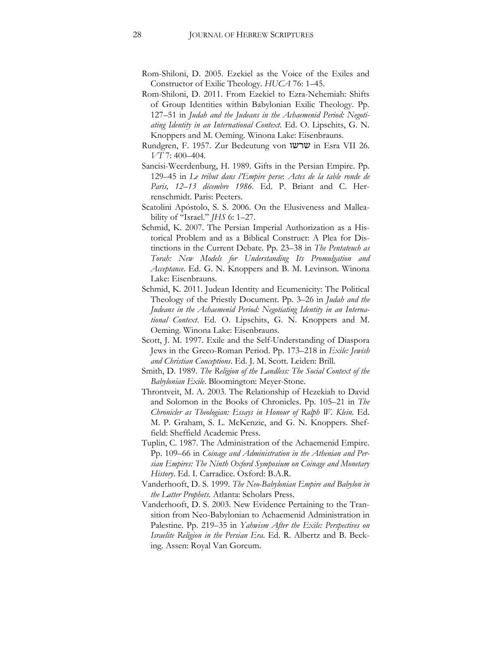- Rom-Shiloni, D. 2005. Ezekiel as the Voice of the Exiles and Constructor of Exilic Theology. *HUCA* 76: 1–45.
- Rom-Shiloni, D. 2011. From Ezekiel to Ezra-Nehemiah: Shifts of Group Identities within Babylonian Exilic Theology. Pp. 127–51 in *Judah and the Judeans in the Achaemenid Period: Negotiating Identity in an International Context*. Ed. O. Lipschits, G. N. Knoppers and M. Oeming. Winona Lake: Eisenbrauns.
- Rundgren, F. 1957. Zur Bedeutung von שרשו in Esra VII 26. *VT* 7: 400–404.
- Sancisi-Weerdenburg, H. 1989. Gifts in the Persian Empire. Pp. 129–45 in *Le tribut dans l'Empire perse*: *Actes de la table ronde de Paris, 12*–*13 décembre 1986*. Ed. P. Briant and C. Herrenschmidt. Paris: Peeters.
- Scatolini Apóstolo, S. S. 2006. On the Elusiveness and Malleability of "Israel." *JHS* 6: 1–27.
- Schmid, K. 2007. The Persian Imperial Authorization as a Historical Problem and as a Biblical Construct: A Plea for Distinctions in the Current Debate. Pp. 23–38 in *The Pentateuch as Torah: New Models for Understanding Its Promulgation and Acceptance*. Ed. G. N. Knoppers and B. M. Levinson. Winona Lake: Eisenbrauns.
- Schmid, K. 2011. Judean Identity and Ecumenicity: The Political Theology of the Priestly Document. Pp. 3–26 in *Judah and the Judeans in the Achaemenid Period: Negotiating Identity in an International Context*. Ed. O. Lipschits, G. N. Knoppers and M. Oeming. Winona Lake: Eisenbrauns.
- Scott, J. M. 1997. Exile and the Self-Understanding of Diaspora Jews in the Greco-Roman Period. Pp. 173–218 in *Exile: Jewish and Christian Conceptions*. Ed. J. M. Scott. Leiden: Brill.
- Smith, D. 1989. *The Religion of the Landless: The Social Context of the Babylonian Exile*. Bloomington: Meyer-Stone.
- Throntveit, M. A. 2003. The Relationship of Hezekiah to David and Solomon in the Books of Chronicles. Pp. 105–21 in *The Chronicler as Theologian: Essays in Honour of Ralph W. Klein*. Ed. M. P. Graham, S. L. McKenzie, and G. N. Knoppers. Sheffield: Sheffield Academic Press.
- Tuplin, C. 1987. The Administration of the Achaemenid Empire. Pp. 109–66 in *Coinage and Administration in the Athenian and Persian Empires: The Ninth Oxford Symposium on Coinage and Monetary History*. Ed. I. Carradice. Oxford: B.A.R.
- Vanderhooft, D. S. 1999. *The Neo-Babylonian Empire and Babylon in the Latter Prophets*. Atlanta: Scholars Press.
- Vanderhooft, D. S. 2003. New Evidence Pertaining to the Transition from Neo-Babylonian to Achaemenid Administration in Palestine. Pp. 219–35 in *Yahwism After the Exile: Perspectives on Israelite Religion in the Persian Era*. Ed. R. Albertz and B. Becking. Assen: Royal Van Gorcum.